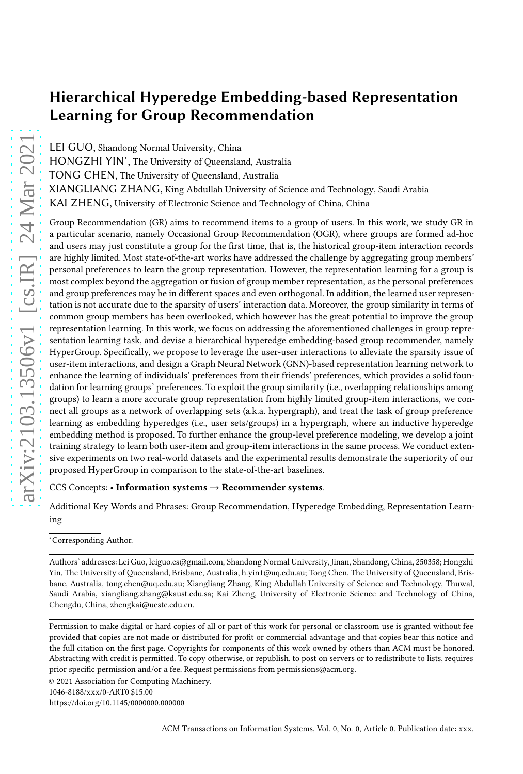# Hierarchical Hyperedge Embedding-based Representation Learning for Group Recommendation

LEI GUO, Shandong Normal University, China

HONGZHI YIN<sup>\*</sup>, The University of Queensland, Australia

TONG CHEN, The University of Queensland, Australia

XIANGLIANG ZHANG, King Abdullah University of Science and Technology, Saudi Arabia

KAI ZHENG, University of Electronic Science and Technology of China, China

Group Recommendation (GR) aims to recommend items to a group of users. In this work, we study GR in a particular scenario, namely Occasional Group Recommendation (OGR), where groups are formed ad-hoc and users may just constitute a group for the first time, that is, the historical group-item interaction records are highly limited. Most state-of-the-art works have addressed the challenge by aggregating group members' personal preferences to learn the group representation. However, the representation learning for a group is most complex beyond the aggregation or fusion of group member representation, as the personal preferences and group preferences may be in different spaces and even orthogonal. In addition, the learned user representation is not accurate due to the sparsity of users' interaction data. Moreover, the group similarity in terms of common group members has been overlooked, which however has the great potential to improve the group representation learning. In this work, we focus on addressing the aforementioned challenges in group representation learning task, and devise a hierarchical hyperedge embedding-based group recommender, namely HyperGroup. Specifically, we propose to leverage the user-user interactions to alleviate the sparsity issue of user-item interactions, and design a Graph Neural Network (GNN)-based representation learning network to enhance the learning of individuals' preferences from their friends' preferences, which provides a solid foundation for learning groups' preferences. To exploit the group similarity (i.e., overlapping relationships among groups) to learn a more accurate group representation from highly limited group-item interactions, we connect all groups as a network of overlapping sets (a.k.a. hypergraph), and treat the task of group preference learning as embedding hyperedges (i.e., user sets/groups) in a hypergraph, where an inductive hyperedge embedding method is proposed. To further enhance the group-level preference modeling, we develop a joint training strategy to learn both user-item and group-item interactions in the same process. We conduct extensive experiments on two real-world datasets and the experimental results demonstrate the superiority of our proposed HyperGroup in comparison to the state-of-the-art baselines.

CCS Concepts: • Information systems → Recommender systems.

Additional Key Words and Phrases: Group Recommendation, Hyperedge Embedding, Representation Learning

<sup>∗</sup>Corresponding Author.

Authors' addresses: Lei Guo, leiguo.cs@gmail.com, Shandong Normal University, Jinan, Shandong, China, 250358; Hongzhi Yin, The University of Queensland, Brisbane, Australia, h.yin1@uq.edu.au; Tong Chen, The University of Queensland, Brisbane, Australia, tong.chen@uq.edu.au; Xiangliang Zhang, King Abdullah University of Science and Technology, Thuwal, Saudi Arabia, xiangliang.zhang@kaust.edu.sa; Kai Zheng, University of Electronic Science and Technology of China, Chengdu, China, zhengkai@uestc.edu.cn.

Permission to make digital or hard copies of all or part of this work for personal or classroom use is granted without fee provided that copies are not made or distributed for profit or commercial advantage and that copies bear this notice and the full citation on the first page. Copyrights for components of this work owned by others than ACM must be honored. Abstracting with credit is permitted. To copy otherwise, or republish, to post on servers or to redistribute to lists, requires prior specific permission and/or a fee. Request permissions from permissions@acm.org.

© 2021 Association for Computing Machinery.

<sup>1046-8188/</sup>xxx/0-ART0 \$15.00

<https://doi.org/10.1145/0000000.000000>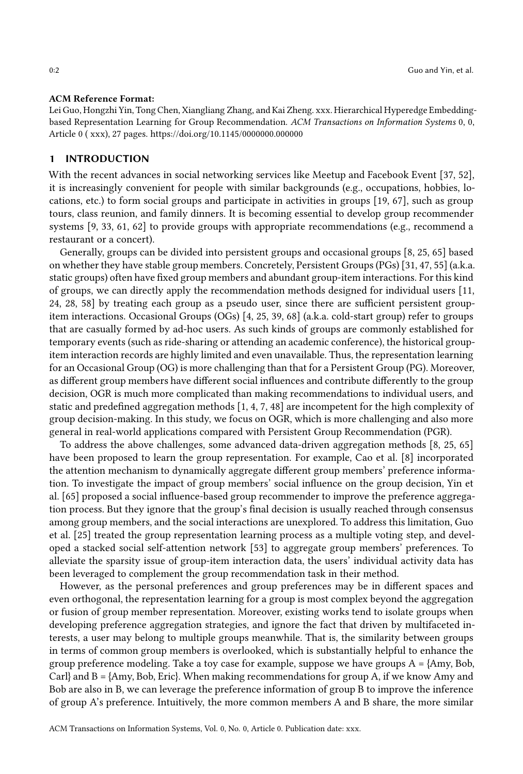#### ACM Reference Format:

Lei Guo, Hongzhi Yin, Tong Chen, Xiangliang Zhang, and Kai Zheng. xxx. Hierarchical Hyperedge Embeddingbased Representation Learning for Group Recommendation. ACM Transactions on Information Systems 0, 0, Article 0 ( xxx), [27](#page-26-0) pages.<https://doi.org/10.1145/0000000.000000>

#### 1 INTRODUCTION

With the recent advances in social networking services like Meetup and Facebook Event [\[37,](#page-25-0) [52\]](#page-26-1), it is increasingly convenient for people with similar backgrounds (e.g., occupations, hobbies, locations, etc.) to form social groups and participate in activities in groups [\[19,](#page-24-0) [67](#page-26-2)], such as group tours, class reunion, and family dinners. It is becoming essential to develop group recommender systems [\[9](#page-24-1), [33,](#page-25-1) [61](#page-26-3), [62\]](#page-26-4) to provide groups with appropriate recommendations (e.g., recommend a restaurant or a concert).

Generally, groups can be divided into persistent groups and occasional groups [\[8,](#page-24-2) [25](#page-25-2), [65](#page-26-5)] based on whether they have stable group members. Concretely, Persistent Groups (PGs) [\[31](#page-25-3), [47](#page-25-4), [55\]](#page-26-6) (a.k.a. static groups) often have fixed group members and abundant group-item interactions. For this kind of groups, we can directly apply the recommendation methods designed for individual users [\[11](#page-24-3), [24](#page-25-5), [28,](#page-25-6) [58\]](#page-26-7) by treating each group as a pseudo user, since there are sufficient persistent groupitem interactions. Occasional Groups (OGs) [\[4,](#page-24-4) [25,](#page-25-2) [39,](#page-25-7) [68\]](#page-26-8) (a.k.a. cold-start group) refer to groups that are casually formed by ad-hoc users. As such kinds of groups are commonly established for temporary events (such as ride-sharing or attending an academic conference), the historical groupitem interaction records are highly limited and even unavailable. Thus, the representation learning for an Occasional Group (OG) is more challenging than that for a Persistent Group (PG). Moreover, as different group members have different social influences and contribute differently to the group decision, OGR is much more complicated than making recommendations to individual users, and static and predefined aggregation methods [\[1,](#page-24-5) [4,](#page-24-4) [7,](#page-24-6) [48\]](#page-25-8) are incompetent for the high complexity of group decision-making. In this study, we focus on OGR, which is more challenging and also more general in real-world applications compared with Persistent Group Recommendation (PGR).

To address the above challenges, some advanced data-driven aggregation methods [\[8,](#page-24-2) [25](#page-25-2), [65\]](#page-26-5) have been proposed to learn the group representation. For example, Cao et al. [\[8](#page-24-2)] incorporated the attention mechanism to dynamically aggregate different group members' preference information. To investigate the impact of group members' social influence on the group decision, Yin et al. [\[65](#page-26-5)] proposed a social influence-based group recommender to improve the preference aggregation process. But they ignore that the group's final decision is usually reached through consensus among group members, and the social interactions are unexplored. To address this limitation, Guo et al. [\[25](#page-25-2)] treated the group representation learning process as a multiple voting step, and developed a stacked social self-attention network [\[53](#page-26-9)] to aggregate group members' preferences. To alleviate the sparsity issue of group-item interaction data, the users' individual activity data has been leveraged to complement the group recommendation task in their method.

However, as the personal preferences and group preferences may be in different spaces and even orthogonal, the representation learning for a group is most complex beyond the aggregation or fusion of group member representation. Moreover, existing works tend to isolate groups when developing preference aggregation strategies, and ignore the fact that driven by multifaceted interests, a user may belong to multiple groups meanwhile. That is, the similarity between groups in terms of common group members is overlooked, which is substantially helpful to enhance the group preference modeling. Take a toy case for example, suppose we have groups  $A = \{Amy, Bob,$ Carl} and  $B = \{Amy, Bob, Eric\}$ . When making recommendations for group A, if we know Amy and Bob are also in B, we can leverage the preference information of group B to improve the inference of group A's preference. Intuitively, the more common members A and B share, the more similar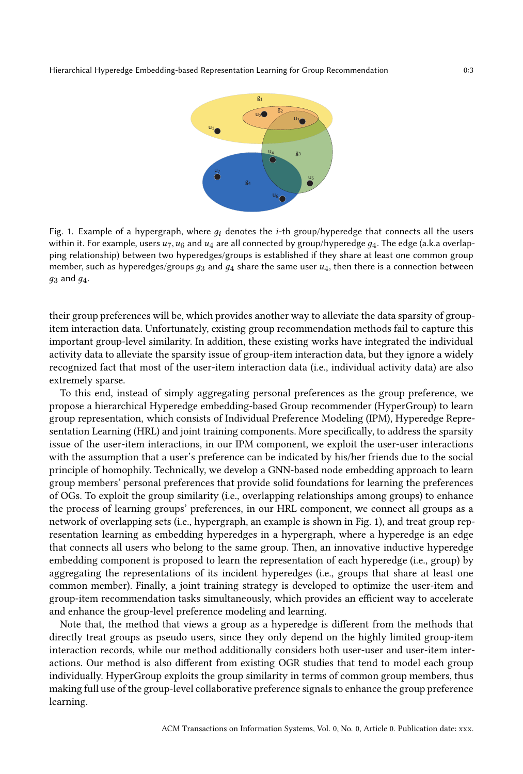<span id="page-2-0"></span>

Fig. 1. Example of a hypergraph, where  $q_i$  denotes the *i*-th group/hyperedge that connects all the users within it. For example, users  $u_7$ ,  $u_6$  and  $u_4$  are all connected by group/hyperedge  $g_4$ . The edge (a.k.a overlapping relationship) between two hyperedges/groups is established if they share at least one common group member, such as hyperedges/groups  $q_3$  and  $q_4$  share the same user  $u_4$ , then there is a connection between  $q_3$  and  $q_4$ .

their group preferences will be, which provides another way to alleviate the data sparsity of groupitem interaction data. Unfortunately, existing group recommendation methods fail to capture this important group-level similarity. In addition, these existing works have integrated the individual activity data to alleviate the sparsity issue of group-item interaction data, but they ignore a widely recognized fact that most of the user-item interaction data (i.e., individual activity data) are also extremely sparse.

To this end, instead of simply aggregating personal preferences as the group preference, we propose a hierarchical Hyperedge embedding-based Group recommender (HyperGroup) to learn group representation, which consists of Individual Preference Modeling (IPM), Hyperedge Representation Learning (HRL) and joint training components. More specifically, to address the sparsity issue of the user-item interactions, in our IPM component, we exploit the user-user interactions with the assumption that a user's preference can be indicated by his/her friends due to the social principle of homophily. Technically, we develop a GNN-based node embedding approach to learn group members' personal preferences that provide solid foundations for learning the preferences of OGs. To exploit the group similarity (i.e., overlapping relationships among groups) to enhance the process of learning groups' preferences, in our HRL component, we connect all groups as a network of overlapping sets (i.e., hypergraph, an example is shown in Fig. [1\)](#page-2-0), and treat group representation learning as embedding hyperedges in a hypergraph, where a hyperedge is an edge that connects all users who belong to the same group. Then, an innovative inductive hyperedge embedding component is proposed to learn the representation of each hyperedge (i.e., group) by aggregating the representations of its incident hyperedges (i.e., groups that share at least one common member). Finally, a joint training strategy is developed to optimize the user-item and group-item recommendation tasks simultaneously, which provides an efficient way to accelerate and enhance the group-level preference modeling and learning.

Note that, the method that views a group as a hyperedge is different from the methods that directly treat groups as pseudo users, since they only depend on the highly limited group-item interaction records, while our method additionally considers both user-user and user-item interactions. Our method is also different from existing OGR studies that tend to model each group individually. HyperGroup exploits the group similarity in terms of common group members, thus making full use of the group-level collaborative preference signals to enhance the group preference learning.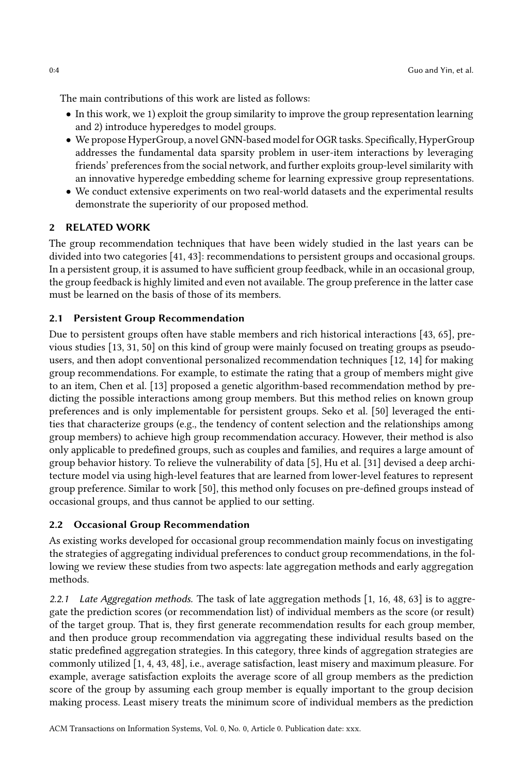The main contributions of this work are listed as follows:

- In this work, we 1) exploit the group similarity to improve the group representation learning and 2) introduce hyperedges to model groups.
- We propose HyperGroup, a novel GNN-based model for OGR tasks. Specifically, HyperGroup addresses the fundamental data sparsity problem in user-item interactions by leveraging friends' preferences from the social network, and further exploits group-level similarity with an innovative hyperedge embedding scheme for learning expressive group representations.
- We conduct extensive experiments on two real-world datasets and the experimental results demonstrate the superiority of our proposed method.

# 2 RELATED WORK

The group recommendation techniques that have been widely studied in the last years can be divided into two categories [\[41,](#page-25-9) [43\]](#page-25-10): recommendations to persistent groups and occasional groups. In a persistent group, it is assumed to have sufficient group feedback, while in an occasional group, the group feedback is highly limited and even not available. The group preference in the latter case must be learned on the basis of those of its members.

# 2.1 Persistent Group Recommendation

Due to persistent groups often have stable members and rich historical interactions [\[43,](#page-25-10) [65\]](#page-26-5), previous studies [\[13,](#page-24-7) [31](#page-25-3), [50\]](#page-26-10) on this kind of group were mainly focused on treating groups as pseudousers, and then adopt conventional personalized recommendation techniques [\[12](#page-24-8), [14](#page-24-9)] for making group recommendations. For example, to estimate the rating that a group of members might give to an item, Chen et al. [\[13](#page-24-7)] proposed a genetic algorithm-based recommendation method by predicting the possible interactions among group members. But this method relies on known group preferences and is only implementable for persistent groups. Seko et al. [\[50\]](#page-26-10) leveraged the entities that characterize groups (e.g., the tendency of content selection and the relationships among group members) to achieve high group recommendation accuracy. However, their method is also only applicable to predefined groups, such as couples and families, and requires a large amount of group behavior history. To relieve the vulnerability of data [\[5\]](#page-24-10), Hu et al. [\[31\]](#page-25-3) devised a deep architecture model via using high-level features that are learned from lower-level features to represent group preference. Similar to work [\[50\]](#page-26-10), this method only focuses on pre-defined groups instead of occasional groups, and thus cannot be applied to our setting.

# 2.2 Occasional Group Recommendation

As existing works developed for occasional group recommendation mainly focus on investigating the strategies of aggregating individual preferences to conduct group recommendations, in the following we review these studies from two aspects: late aggregation methods and early aggregation methods.

2.2.1 Late Aggregation methods. The task of late aggregation methods [\[1,](#page-24-5) [16,](#page-24-11) [48](#page-25-8), [63](#page-26-11)] is to aggregate the prediction scores (or recommendation list) of individual members as the score (or result) of the target group. That is, they first generate recommendation results for each group member, and then produce group recommendation via aggregating these individual results based on the static predefined aggregation strategies. In this category, three kinds of aggregation strategies are commonly utilized [\[1,](#page-24-5) [4,](#page-24-4) [43,](#page-25-10) [48](#page-25-8)], i.e., average satisfaction, least misery and maximum pleasure. For example, average satisfaction exploits the average score of all group members as the prediction score of the group by assuming each group member is equally important to the group decision making process. Least misery treats the minimum score of individual members as the prediction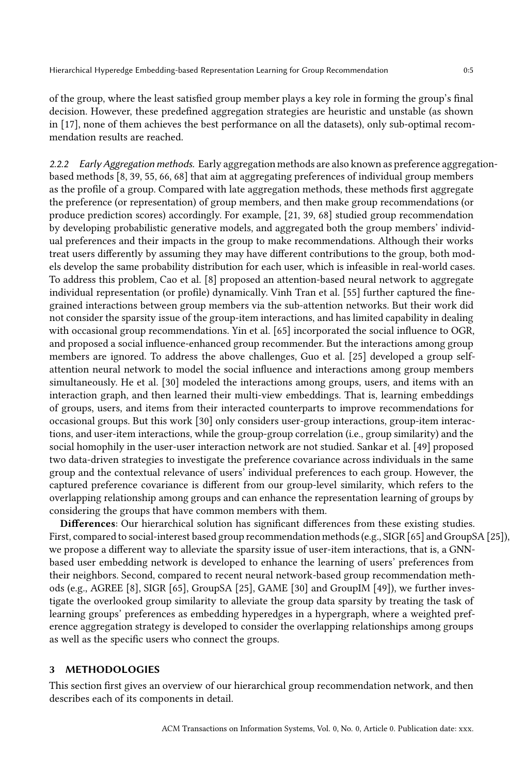of the group, where the least satisfied group member plays a key role in forming the group's final decision. However, these predefined aggregation strategies are heuristic and unstable (as shown in [\[17](#page-24-12)], none of them achieves the best performance on all the datasets), only sub-optimal recommendation results are reached.

2.2.2 Early Aggregation methods. Early aggregation methods are also known as preference aggregationbased methods [\[8](#page-24-2), [39](#page-25-7), [55,](#page-26-6) [66,](#page-26-12) [68](#page-26-8)] that aim at aggregating preferences of individual group members as the profile of a group. Compared with late aggregation methods, these methods first aggregate the preference (or representation) of group members, and then make group recommendations (or produce prediction scores) accordingly. For example, [\[21,](#page-24-13) [39](#page-25-7), [68\]](#page-26-8) studied group recommendation by developing probabilistic generative models, and aggregated both the group members' individual preferences and their impacts in the group to make recommendations. Although their works treat users differently by assuming they may have different contributions to the group, both models develop the same probability distribution for each user, which is infeasible in real-world cases. To address this problem, Cao et al. [\[8](#page-24-2)] proposed an attention-based neural network to aggregate individual representation (or profile) dynamically. Vinh Tran et al. [\[55\]](#page-26-6) further captured the finegrained interactions between group members via the sub-attention networks. But their work did not consider the sparsity issue of the group-item interactions, and has limited capability in dealing with occasional group recommendations. Yin et al. [\[65\]](#page-26-5) incorporated the social influence to OGR, and proposed a social influence-enhanced group recommender. But the interactions among group members are ignored. To address the above challenges, Guo et al. [\[25](#page-25-2)] developed a group selfattention neural network to model the social influence and interactions among group members simultaneously. He et al. [\[30](#page-25-11)] modeled the interactions among groups, users, and items with an interaction graph, and then learned their multi-view embeddings. That is, learning embeddings of groups, users, and items from their interacted counterparts to improve recommendations for occasional groups. But this work [\[30](#page-25-11)] only considers user-group interactions, group-item interactions, and user-item interactions, while the group-group correlation (i.e., group similarity) and the social homophily in the user-user interaction network are not studied. Sankar et al. [\[49\]](#page-25-12) proposed two data-driven strategies to investigate the preference covariance across individuals in the same group and the contextual relevance of users' individual preferences to each group. However, the captured preference covariance is different from our group-level similarity, which refers to the overlapping relationship among groups and can enhance the representation learning of groups by considering the groups that have common members with them.

Differences: Our hierarchical solution has significant differences from these existing studies. First, compared to social-interest based group recommendation methods (e.g., SIGR [\[65](#page-26-5)] and GroupSA [\[25](#page-25-2)]), we propose a different way to alleviate the sparsity issue of user-item interactions, that is, a GNNbased user embedding network is developed to enhance the learning of users' preferences from their neighbors. Second, compared to recent neural network-based group recommendation methods (e.g., AGREE [\[8](#page-24-2)], SIGR [\[65\]](#page-26-5), GroupSA [\[25](#page-25-2)], GAME [\[30\]](#page-25-11) and GroupIM [\[49\]](#page-25-12)), we further investigate the overlooked group similarity to alleviate the group data sparsity by treating the task of learning groups' preferences as embedding hyperedges in a hypergraph, where a weighted preference aggregation strategy is developed to consider the overlapping relationships among groups as well as the specific users who connect the groups.

# 3 METHODOLOGIES

This section first gives an overview of our hierarchical group recommendation network, and then describes each of its components in detail.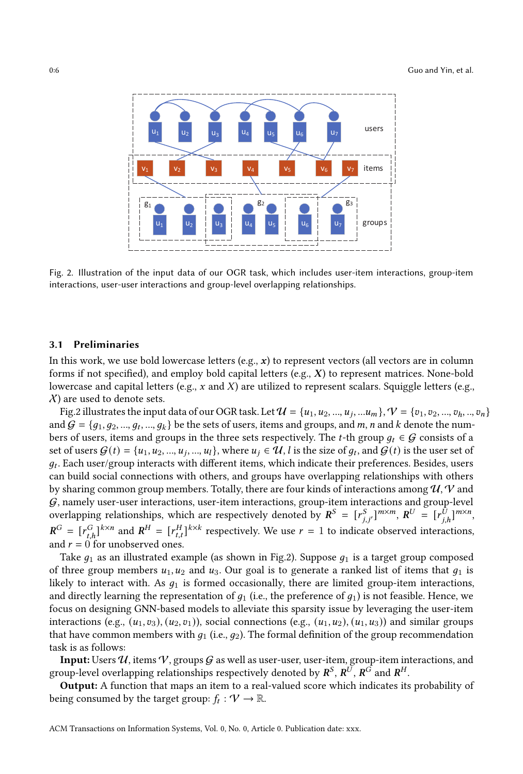<span id="page-5-0"></span>

Fig. 2. Illustration of the input data of our OGR task, which includes user-item interactions, group-item interactions, user-user interactions and group-level overlapping relationships.

#### 3.1 Preliminaries

In this work, we use bold lowercase letters (e.g.,  $x$ ) to represent vectors (all vectors are in column forms if not specified), and employ bold capital letters (e.g.,  $X$ ) to represent matrices. None-bold lowercase and capital letters (e.g.,  $x$  and  $X$ ) are utilized to represent scalars. Squiggle letters (e.g.,  $X$ ) are used to denote sets.

Fig[.2](#page-5-0) illustrates the input data of our OGR task. Let  $\mathcal{U} = \{u_1, u_2, ..., u_j, ...u_m\}, \mathcal{V} = \{v_1, v_2, ..., v_h, ..., v_n\}$ and  $G = \{g_1, g_2, ..., g_t, ..., g_k\}$  be the sets of users, items and groups, and m, n and k denote the numbers of users, items and groups in the three sets respectively. The *t*-th group  $q_t \in \mathcal{G}$  consists of a set of users  $G(t) = \{u_1, u_2, ..., u_j, ..., u_l\}$ , where  $u_j \in \mathcal{U}$ , l is the size of  $g_t$ , and  $G(t)$  is the user set of  $g_t$ . Each user/group interacts with different items, which indicate their preferences. Besides, users can build social connections with others, and groups have overlapping relationships with others by sharing common group members. Totally, there are four kinds of interactions among  $\mathcal{U}, \mathcal{V}$  and  $G$ , namely user-user interactions, user-item interactions, group-item interactions and group-level overlapping relationships, which are respectively denoted by  $R^S = [r_{j,j'}^S]^{m \times m}$ ,  $R^U = [r_{j,h}^{\bar{U}}]^{m \times n}$ ,  $R^G = [r_{t,h}^G]^{k \times n}$  and  $R^H = [r_{t,t}^H]^{k \times k}$  respectively. We use  $r = 1$  to indicate observed interactions, and  $r = 0$  for unobserved ones.

Take  $g_1$  as an illustrated example (as shown in Fig[.2\)](#page-5-0). Suppose  $g_1$  is a target group composed of three group members  $u_1, u_2$  and  $u_3$ . Our goal is to generate a ranked list of items that  $q_1$  is likely to interact with. As  $q_1$  is formed occasionally, there are limited group-item interactions, and directly learning the representation of  $q_1$  (i.e., the preference of  $q_1$ ) is not feasible. Hence, we focus on designing GNN-based models to alleviate this sparsity issue by leveraging the user-item interactions (e.g.,  $(u_1, v_3)$ ,  $(u_2, v_1)$ ), social connections (e.g.,  $(u_1, u_2)$ ,  $(u_1, u_3)$ ) and similar groups that have common members with  $q_1$  (i.e.,  $q_2$ ). The formal definition of the group recommendation task is as follows:

Input: Users  $\mathcal{U}$ , items  $\mathcal{V}$ , groups  $\mathcal{G}$  as well as user-user, user-item, group-item interactions, and group-level overlapping relationships respectively denoted by  $\pmb{R}^S,\pmb{R}^{\bar{U}},\pmb{R}^{\bar{G}}$  and  $\pmb{R}^H.$ 

Output: A function that maps an item to a real-valued score which indicates its probability of being consumed by the target group:  $f_t: \mathcal{V} \to \mathbb{R}$ .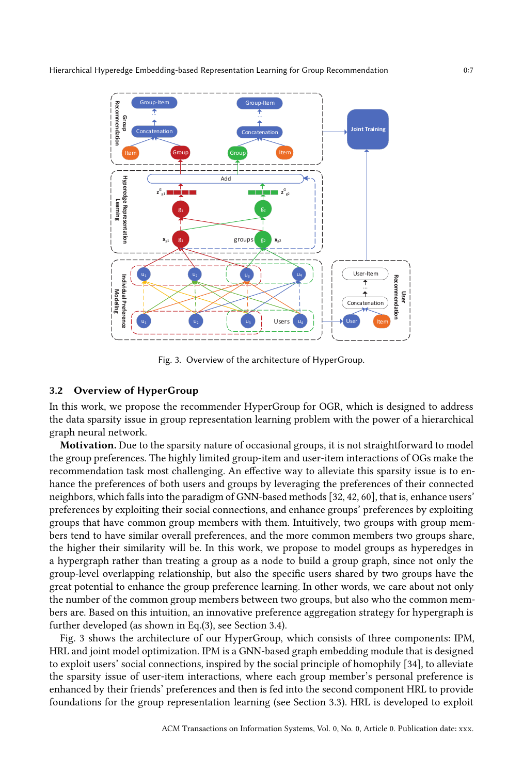<span id="page-6-0"></span>

Fig. 3. Overview of the architecture of HyperGroup.

#### 3.2 Overview of HyperGroup

In this work, we propose the recommender HyperGroup for OGR, which is designed to address the data sparsity issue in group representation learning problem with the power of a hierarchical graph neural network.

Motivation. Due to the sparsity nature of occasional groups, it is not straightforward to model the group preferences. The highly limited group-item and user-item interactions of OGs make the recommendation task most challenging. An effective way to alleviate this sparsity issue is to enhance the preferences of both users and groups by leveraging the preferences of their connected neighbors, which falls into the paradigm of GNN-based methods[\[32](#page-25-13), [42,](#page-25-14) [60](#page-26-13)], that is, enhance users' preferences by exploiting their social connections, and enhance groups' preferences by exploiting groups that have common group members with them. Intuitively, two groups with group members tend to have similar overall preferences, and the more common members two groups share, the higher their similarity will be. In this work, we propose to model groups as hyperedges in a hypergraph rather than treating a group as a node to build a group graph, since not only the group-level overlapping relationship, but also the specific users shared by two groups have the great potential to enhance the group preference learning. In other words, we care about not only the number of the common group members between two groups, but also who the common members are. Based on this intuition, an innovative preference aggregation strategy for hypergraph is further developed (as shown in Eq.[\(3\)](#page-10-0), see Section [3.4\)](#page-8-0).

Fig. [3](#page-6-0) shows the architecture of our HyperGroup, which consists of three components: IPM, HRL and joint model optimization. IPM is a GNN-based graph embedding module that is designed to exploit users' social connections, inspired by the social principle of homophily [\[34\]](#page-25-15), to alleviate the sparsity issue of user-item interactions, where each group member's personal preference is enhanced by their friends' preferences and then is fed into the second component HRL to provide foundations for the group representation learning (see Section [3.3\)](#page-7-0). HRL is developed to exploit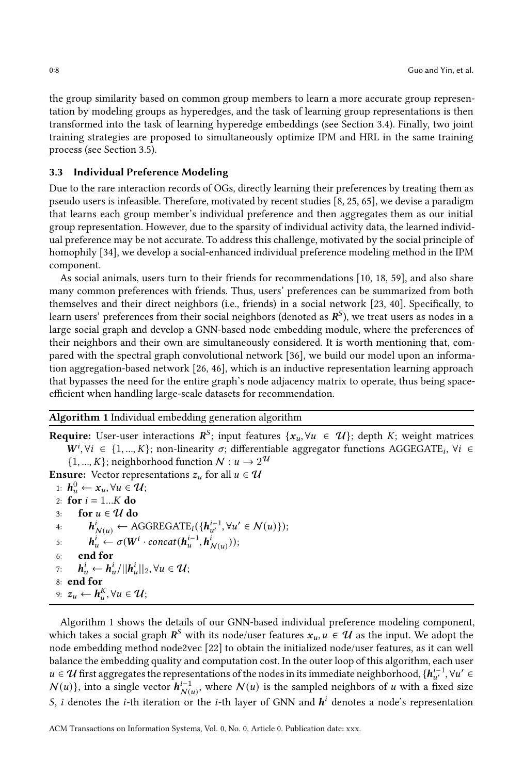the group similarity based on common group members to learn a more accurate group representation by modeling groups as hyperedges, and the task of learning group representations is then transformed into the task of learning hyperedge embeddings (see Section [3.4\)](#page-8-0). Finally, two joint training strategies are proposed to simultaneously optimize IPM and HRL in the same training process (see Section [3.5\)](#page-10-1).

# <span id="page-7-0"></span>3.3 Individual Preference Modeling

Due to the rare interaction records of OGs, directly learning their preferences by treating them as pseudo users is infeasible. Therefore, motivated by recent studies [\[8](#page-24-2), [25,](#page-25-2) [65](#page-26-5)], we devise a paradigm that learns each group member's individual preference and then aggregates them as our initial group representation. However, due to the sparsity of individual activity data, the learned individual preference may be not accurate. To address this challenge, motivated by the social principle of homophily [\[34](#page-25-15)], we develop a social-enhanced individual preference modeling method in the IPM component.

As social animals, users turn to their friends for recommendations [\[10](#page-24-14), [18,](#page-24-15) [59\]](#page-26-14), and also share many common preferences with friends. Thus, users' preferences can be summarized from both themselves and their direct neighbors (i.e., friends) in a social network [\[23,](#page-24-16) [40\]](#page-25-16). Specifically, to learn users' preferences from their social neighbors (denoted as  $\bm{R}^\mathcal{S}$ ), we treat users as nodes in a large social graph and develop a GNN-based node embedding module, where the preferences of their neighbors and their own are simultaneously considered. It is worth mentioning that, compared with the spectral graph convolutional network [\[36\]](#page-25-17), we build our model upon an information aggregation-based network [\[26,](#page-25-18) [46\]](#page-25-19), which is an inductive representation learning approach that bypasses the need for the entire graph's node adjacency matrix to operate, thus being spaceefficient when handling large-scale datasets for recommendation.

# <span id="page-7-1"></span>Algorithm 1 Individual embedding generation algorithm

**Require:** User-user interactions  $\mathbb{R}^S$ ; input features  $\{x_u, \forall u \in \mathcal{U}\}$ ; depth  $K$ ; weight matrices  $W^i, \forall i \in \{1, ..., K\}$ ; non-linearity  $\sigma$ ; differentiable aggregator functions AGGEGATE<sub>i</sub>,  $\forall i \in$  $\{1, ..., K\}$ ; neighborhood function  $N: u \to 2^{\mathcal{U}}$ **Ensure:** Vector representations  $z_u$  for all  $u \in \mathcal{U}$ 1:  $h_u^0 \leftarrow x_u, \forall u \in \mathcal{U};$ 2: for  $i = 1...K$  do 3: for  $u \in \mathcal{U}$  do<br>4:  $h^i_{\mathcal{U}} \leftarrow A$ 4:  $\mathbf{h}_{\mathcal{N}(u)}^i \leftarrow \text{AGGREGATE}_i(\{\mathbf{h}_{u'}^{i-1}, \forall u' \in \mathcal{N}(u)\})$ ; 5:  $\mathbf{h}_u^i \leftarrow \sigma(\mathbf{W}^i \cdot \text{concat}(\mathbf{h}_u^{i-1}, \mathbf{h}_{N(u)}^i));$ 6: end for 7:  $\boldsymbol{h}_u^i \leftarrow \boldsymbol{h}_u^i / ||\boldsymbol{h}_u^i||_2, \forall u \in \mathcal{U};$ 8: end for 9:  $z_u \leftarrow h_u^K, \forall u \in \mathcal{U};$ 

Algorithm [1](#page-7-1) shows the details of our GNN-based individual preference modeling component, which takes a social graph  $\mathbb{R}^S$  with its node/user features  $x_u, u \in \mathcal{U}$  as the input. We adopt the node embedding method node2vec [\[22](#page-24-17)] to obtain the initialized node/user features, as it can well balance the embedding quality and computation cost. In the outer loop of this algorithm, each user  $u \in \mathcal{U}$  first aggregates the representations of the nodes in its immediate neighborhood,  $\{h_{u'}^{i-1}, \forall u' \in$  $N(u)$ }, into a single vector  $h_{N(u)}^{i-1}$ , where  $N(u)$  is the sampled neighbors of u with a fixed size S, i denotes the *i*-th iteration or the *i*-th layer of GNN and  $h^i$  denotes a node's representation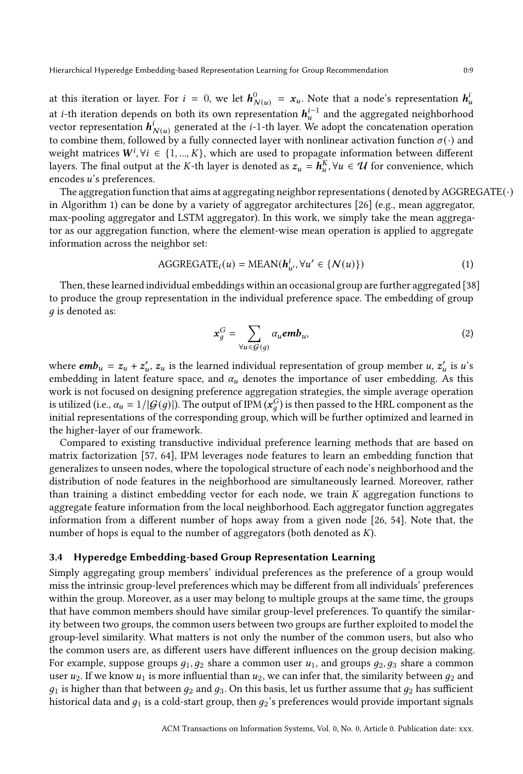Hierarchical Hyperedge Embedding-based Representation Learning for Group Recommendation 0:9

at this iteration or layer. For  $i = 0$ , we let  $\bm{h}_{N}^{0}$  $N(u) = x_u$ . Note that a node's representation  $h_u^i$ at *i*-th iteration depends on both its own representation  $h_{u}^{i-1}$  and the aggregated neighborhood vector representation  $h^i_{\mathcal{N}(u)}$  generated at the *i*-1-th layer. We adopt the concatenation operation to combine them, followed by a fully connected layer with nonlinear activation function  $\sigma(\cdot)$  and weight matrices  $W^i$ ,  $\forall i \in \{1, ..., K\}$ , which are used to propagate information between different layers. The final output at the K-th layer is denoted as  $z_u = \tilde{h}_u^K$ ,  $\forall u \in \mathcal{U}$  for convenience, which encodes *u*'s preferences.

The aggregation function that aims at aggregating neighbor representations (denoted by AGGREGATE( $\cdot$ ) in Algorithm [1\)](#page-7-1) can be done by a variety of aggregator architectures [\[26\]](#page-25-18) (e.g., mean aggregator, max-pooling aggregator and LSTM aggregator). In this work, we simply take the mean aggregator as our aggregation function, where the element-wise mean operation is applied to aggregate information across the neighbor set:

$$
AGGREGATE_i(u) = MEAN(\mathbf{h}_{u'}^i, \forall u' \in \{N(u)\})
$$
\n(1)

Then, these learned individual embeddings within an occasional group are further aggregated [\[38\]](#page-25-20) to produce the group representation in the individual preference space. The embedding of group  $q$  is denoted as:

$$
x_g^G = \sum_{\forall u \in \mathcal{G}(g)} \alpha_u \mathbf{emb}_u, \tag{2}
$$

where  $emb_u = z_u + z'_u$ ,  $z_u$  is the learned individual representation of group member  $u, z'_u$  is  $u$ 's embedding in latent feature space, and  $\alpha_u$  denotes the importance of user embedding. As this work is not focused on designing preference aggregation strategies, the simple average operation is utilized (i.e.,  $\alpha_u = 1/|\mathcal{G}(g)|$ ). The output of IPM  $(x_g^G)$  is then passed to the HRL component as the initial representations of the corresponding group, which will be further optimized and learned in the higher-layer of our framework.

Compared to existing transductive individual preference learning methods that are based on matrix factorization [\[57,](#page-26-15) [64\]](#page-26-16), IPM leverages node features to learn an embedding function that generalizes to unseen nodes, where the topological structure of each node's neighborhood and the distribution of node features in the neighborhood are simultaneously learned. Moreover, rather than training a distinct embedding vector for each node, we train  $K$  aggregation functions to aggregate feature information from the local neighborhood. Each aggregator function aggregates information from a different number of hops away from a given node [\[26,](#page-25-18) [54\]](#page-26-17). Note that, the number of hops is equal to the number of aggregators (both denoted as  $K$ ).

#### <span id="page-8-0"></span>3.4 Hyperedge Embedding-based Group Representation Learning

Simply aggregating group members' individual preferences as the preference of a group would miss the intrinsic group-level preferences which may be different from all individuals' preferences within the group. Moreover, as a user may belong to multiple groups at the same time, the groups that have common members should have similar group-level preferences. To quantify the similarity between two groups, the common users between two groups are further exploited to model the group-level similarity. What matters is not only the number of the common users, but also who the common users are, as different users have different influences on the group decision making. For example, suppose groups  $q_1, q_2$  share a common user  $u_1$ , and groups  $q_2, q_3$  share a common user  $u_2$ . If we know  $u_1$  is more influential than  $u_2$ , we can infer that, the similarity between  $q_2$  and  $q_1$  is higher than that between  $q_2$  and  $q_3$ . On this basis, let us further assume that  $q_2$  has sufficient historical data and  $q_1$  is a cold-start group, then  $q_2$ 's preferences would provide important signals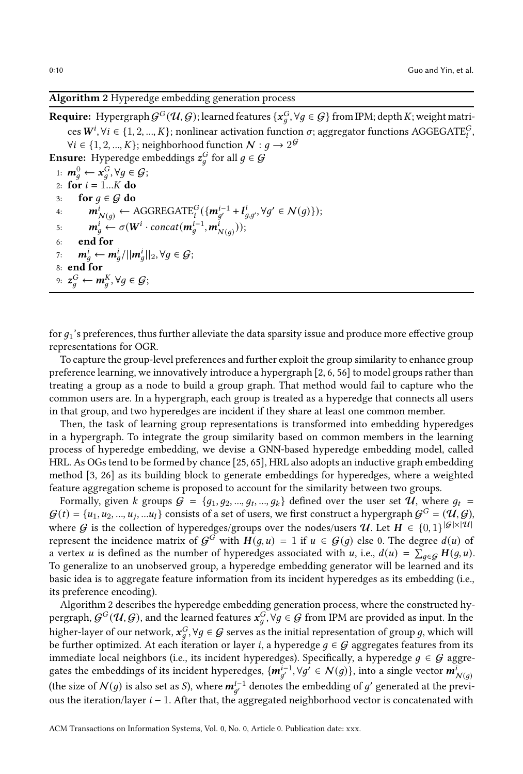# <span id="page-9-0"></span>Algorithm 2 Hyperedge embedding generation process

**Require:** Hypergraph  $G^G(\mathcal{U}, \mathcal{G})$ ; learned features  $\{x_g^G, \forall g \in \mathcal{G}\}\}$  from IPM; depth  $K$ ; weight matrices  $W^i$ ,  $\forall i \in \{1, 2, ..., K\}$ ; nonlinear activation function  $\sigma$ ; aggregator functions AGGEGATE $_i^G$ ,  $\forall i \in \{1, 2, ..., K\}$ ; neighborhood function  $\mathcal{N}: g \to 2^{\mathcal{G}}$ **Ensure:** Hyperedge embeddings  $z_g^G$  for all  $g \in \mathcal{G}$ 1:  $m_g^0 \leftarrow x_g^G, \forall g \in \mathcal{G};$ 2: for  $i = 1...K$  do 3: for  $g \in G$  do<br>4:  $m^i$ ,  $\leftarrow$  / 4:  $\mathbf{m}_{N(g)}^i \leftarrow \text{AGGREGATE}_i^G(\{\mathbf{m}_{g'}^{i-1} + \mathbf{l}_{g,g'}^i, \forall g' \in N(g)\});$ 5:  $\mathbf{m}_g^i \leftarrow \sigma(W^i \cdot concat(\mathbf{m}_g^{i-1}, \mathbf{m}_{N(g)}^i));$ 6: end for 7:  $\mathbf{m}_g^i \leftarrow \mathbf{m}_g^i / ||\mathbf{m}_g^i||_2, \forall g \in \mathcal{G};$ 8: end for 9:  $z_g^G \leftarrow m_g^K, \forall g \in \mathcal{G}$ ;

for  $q_1$ 's preferences, thus further alleviate the data sparsity issue and produce more effective group representations for OGR.

To capture the group-level preferences and further exploit the group similarity to enhance group preference learning, we innovatively introduce a hypergraph [\[2](#page-24-18), [6](#page-24-19), [56\]](#page-26-18) to model groups rather than treating a group as a node to build a group graph. That method would fail to capture who the common users are. In a hypergraph, each group is treated as a hyperedge that connects all users in that group, and two hyperedges are incident if they share at least one common member.

Then, the task of learning group representations is transformed into embedding hyperedges in a hypergraph. To integrate the group similarity based on common members in the learning process of hyperedge embedding, we devise a GNN-based hyperedge embedding model, called HRL. As OGs tend to be formed by chance [\[25,](#page-25-2) [65\]](#page-26-5), HRL also adopts an inductive graph embedding method [\[3](#page-24-20), [26\]](#page-25-18) as its building block to generate embeddings for hyperedges, where a weighted feature aggregation scheme is proposed to account for the similarity between two groups.

Formally, given k groups  $G = \{g_1, g_2, ..., g_t, ..., g_k\}$  defined over the user set  $\mathcal{U}$ , where  $g_t$  $G(t) = \{u_1, u_2, ..., u_j, ...u_l\}$  consists of a set of users, we first construct a hypergraph  $G^G = (\mathcal{U}, \mathcal{G})$ where G is the collection of hyperedges/groups over the nodes/users  $\mathcal{U}$ . Let  $H \in \{0,1\}^{|\mathcal{G}| \times |\mathcal{U}|}$ represent the incidence matrix of  $G^G$  with  $H(g, u) = 1$  if  $u \in G(g)$  else 0. The degree  $d(u)$  of a vertex *u* is defined as the number of hyperedges associated with *u*, i.e.,  $d(u) = \sum_{g \in \mathcal{G}} H(g, u)$ . To generalize to an unobserved group, a hyperedge embedding generator will be learned and its basic idea is to aggregate feature information from its incident hyperedges as its embedding (i.e., its preference encoding).

Algorithm [2](#page-9-0) describes the hyperedge embedding generation process, where the constructed hypergraph,  $G^G(\mathcal U,G)$ , and the learned features  $x^G_g, \forall g\in\mathcal G$  from IPM are provided as input. In the higher-layer of our network,  $x_g^G$ ,  $\forall g \in G$  serves as the initial representation of group g, which will be further optimized. At each iteration or layer *i*, a hyperedge  $g \in G$  aggregates features from its immediate local neighbors (i.e., its incident hyperedges). Specifically, a hyperedge  $g \in G$  aggregates the embeddings of its incident hyperedges,  $\{m_{g'}^{i-1}, \forall g' \in \mathcal{N}(g)\}\$ , into a single vector  $m_{\mathcal{N}(g)}^i$ (the size of  $\mathcal{N}(g)$  is also set as  $\mathcal{S}$ ), where  $\bm{m}_{g'}^{i-1}$  denotes the embedding of  $g'$  generated at the previous the iteration/layer  $i - 1$ . After that, the aggregated neighborhood vector is concatenated with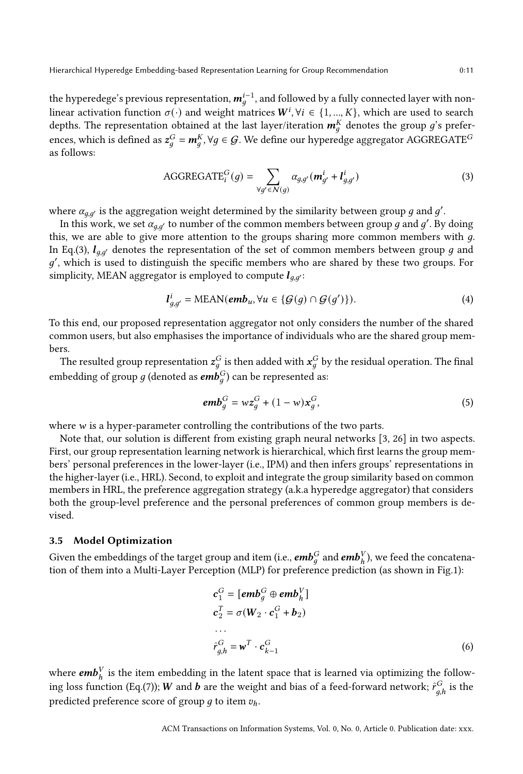Hierarchical Hyperedge Embedding-based Representation Learning for Group Recommendation 0:11

the hyperedege's previous representation,  $\bm{m}_g^{i-1}$ , and followed by a fully connected layer with nonlinear activation function  $\sigma(\cdot)$  and weight matrices  $W^i$ ,  $\forall i \in \{1, ..., K\}$ , which are used to search depths. The representation obtained at the last layer/iteration  $\pmb{m}_{g}^{K}$  denotes the group  $g$ 's preferences, which is defined as  $z_g^G = m_g^K$ ,  $\forall g \in \mathcal{G}$ . We define our hyperedge aggregator AGGREGATE $^G$ as follows:

<span id="page-10-0"></span>AGGREGATE<sub>i</sub><sup>G</sup>(g) = 
$$
\sum_{\forall g' \in \mathcal{N}(g)} \alpha_{g,g'} (\mathbf{m}_{g'}^{i} + \mathbf{I}_{g,g'}^{i})
$$
(3)

where  $\alpha_{g,g'}$  is the aggregation weight determined by the similarity between group  $g$  and  $g'$ .

In this work, we set  $\alpha_{g,g'}$  to number of the common members between group  $g$  and  $g'$ . By doing this, we are able to give more attention to the groups sharing more common members with  $g$ . In Eq.[\(3\)](#page-10-0),  $I_{q,q'}$  denotes the representation of the set of common members between group q and g', which is used to distinguish the specific members who are shared by these two groups. For simplicity, MEAN aggregator is employed to compute  $l_{q,q'}$ :

$$
l_{g,g'}^i = \text{MEAN}(emb_u, \forall u \in \{\mathcal{G}(g) \cap \mathcal{G}(g')\}).\tag{4}
$$

To this end, our proposed representation aggregator not only considers the number of the shared common users, but also emphasises the importance of individuals who are the shared group members.

The resulted group representation  $z_g^G$  is then added with  $x_g^G$  by the residual operation. The final embedding of group  $g$  (denoted as  $\pmb{emb}^G_g)$  can be represented as:

<span id="page-10-2"></span>
$$
embgG = wzgG + (1 - w)xgG,
$$
\n(5)

where  $w$  is a hyper-parameter controlling the contributions of the two parts.

Note that, our solution is different from existing graph neural networks [\[3](#page-24-20), [26\]](#page-25-18) in two aspects. First, our group representation learning network is hierarchical, which first learns the group members' personal preferences in the lower-layer (i.e., IPM) and then infers groups' representations in the higher-layer (i.e., HRL). Second, to exploit and integrate the group similarity based on common members in HRL, the preference aggregation strategy (a.k.a hyperedge aggregator) that considers both the group-level preference and the personal preferences of common group members is devised.

#### <span id="page-10-1"></span>3.5 Model Optimization

Given the embeddings of the target group and item (i.e.,  $\pmb{emb}^G_g$  and  $\pmb{emb}^V_h$ ), we feed the concatenation of them into a Multi-Layer Perception (MLP) for preference prediction (as shown in Fig[.1\)](#page-7-1):

$$
c_1^G = [emb_g^G \oplus emb_h^V]
$$
  
\n
$$
c_2^T = \sigma(W_2 \cdot c_1^G + b_2)
$$
  
\n...  
\n
$$
\hat{r}_{g,h}^G = \mathbf{w}^T \cdot c_{k-1}^G
$$
 (6)

where  $\pmb{emb}^V_h$  is the item embedding in the latent space that is learned via optimizing the follow-ing loss function (Eq.[\(7\)](#page-11-0));  $\bm{W}$  and  $\bm{b}$  are the weight and bias of a feed-forward network;  $\hat{r}^G_{g,h}$  is the predicted preference score of group q to item  $v_h$ .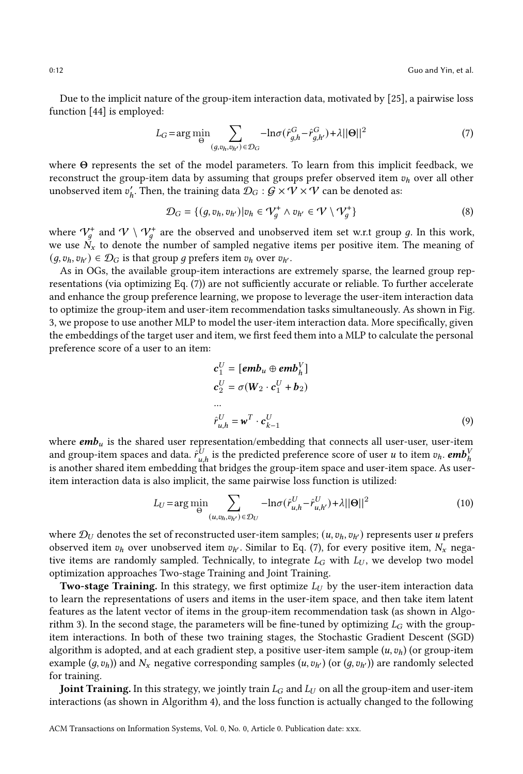Due to the implicit nature of the group-item interaction data, motivated by [\[25\]](#page-25-2), a pairwise loss function [\[44\]](#page-25-21) is employed:

<span id="page-11-0"></span>
$$
L_G = \arg\min_{\Theta} \sum_{(g,v_h,v_{h'}) \in \mathcal{D}_G} -\ln \sigma(\hat{r}_{g,h}^G - \hat{r}_{g,h'}^G) + \lambda ||\Theta||^2
$$
\n<sup>(7)</sup>

where  $\Theta$  represents the set of the model parameters. To learn from this implicit feedback, we reconstruct the group-item data by assuming that groups prefer observed item  $v_h$  over all other unobserved item  $v'_h$ . Then, the training data  $\mathcal{D}_G:\mathcal{G}\times\mathcal{V}\times\mathcal{V}$  can be denoted as:

$$
\mathcal{D}_G = \{ (g, v_h, v_{h'}) | v_h \in \mathcal{V}_g^+ \land v_{h'} \in \mathcal{V} \setminus \mathcal{V}_g^+ \}
$$
(8)

where  $\mathcal{V}_g^+$  and  $\mathcal{V} \setminus \mathcal{V}_g^+$  are the observed and unobserved item set w.r.t group  $g$ . In this work, we use  $N_x$  to denote the number of sampled negative items per positive item. The meaning of  $(q, v_h, v_{h'}) \in \mathcal{D}_G$  is that group q prefers item  $v_h$  over  $v_{h'}$ .

As in OGs, the available group-item interactions are extremely sparse, the learned group representations (via optimizing Eq. [\(7\)](#page-11-0)) are not sufficiently accurate or reliable. To further accelerate and enhance the group preference learning, we propose to leverage the user-item interaction data to optimize the group-item and user-item recommendation tasks simultaneously. As shown in Fig. [3,](#page-6-0) we propose to use another MLP to model the user-item interaction data. More specifically, given the embeddings of the target user and item, we first feed them into a MLP to calculate the personal preference score of a user to an item:

<span id="page-11-1"></span>
$$
\mathbf{c}_1^U = [\mathbf{emb}_u \oplus \mathbf{emb}_h^V]
$$
  
\n
$$
\mathbf{c}_2^U = \sigma(\mathbf{W}_2 \cdot \mathbf{c}_1^U + \mathbf{b}_2)
$$
  
\n...  
\n
$$
\hat{r}_{u,h}^U = \mathbf{w}^T \cdot \mathbf{c}_{k-1}^U
$$
\n(9)

where  $emb_u$  is the shared user representation/embedding that connects all user-user, user-item and group-item spaces and data.  $\hat{r}_{u,h}^U$  is the predicted preference score of user  $u$  to item  $v_h.$   $\pmb{emb}_h^V$ is another shared item embedding that bridges the group-item space and user-item space. As useritem interaction data is also implicit, the same pairwise loss function is utilized:

$$
L_U = \arg\min_{\Theta} \sum_{(u, v_h, v_{h'}) \in \mathcal{D}_U} -\ln \sigma(\hat{r}_{u,h}^U - \hat{r}_{u,h'}^U) + \lambda ||\Theta||^2
$$
 (10)

where  $\mathcal{D}_{U}$  denotes the set of reconstructed user-item samples;  $(u, v_h, v_{h'})$  represents user u prefers observed item  $v_h$  over unobserved item  $v_{h'}$ . Similar to Eq. [\(7\)](#page-11-0), for every positive item,  $N_x$  negative items are randomly sampled. Technically, to integrate  $L_G$  with  $L_U$ , we develop two model optimization approaches Two-stage Training and Joint Training.

**Two-stage Training.** In this strategy, we first optimize  $L_U$  by the user-item interaction data to learn the representations of users and items in the user-item space, and then take item latent features as the latent vector of items in the group-item recommendation task (as shown in Algo-rithm [3\)](#page-12-0). In the second stage, the parameters will be fine-tuned by optimizing  $L_G$  with the groupitem interactions. In both of these two training stages, the Stochastic Gradient Descent (SGD) algorithm is adopted, and at each gradient step, a positive user-item sample  $(u, v_h)$  (or group-item example  $(g, v_h)$ ) and  $N_x$  negative corresponding samples  $(u, v_{h'})$  (or  $(g, v_{h'})$ ) are randomly selected for training.

**Joint Training.** In this strategy, we jointly train  $L_G$  and  $L_U$  on all the group-item and user-item interactions (as shown in Algorithm [4\)](#page-12-1), and the loss function is actually changed to the following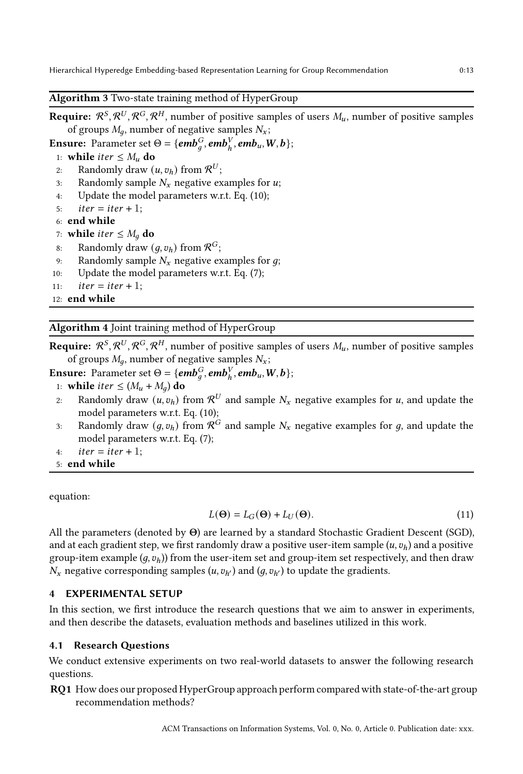# <span id="page-12-0"></span>Algorithm 3 Two-state training method of HyperGroup

**Require:**  $\mathcal{R}^S$ ,  $\mathcal{R}^U$ ,  $\mathcal{R}^G$ ,  $\mathcal{R}^H$ , number of positive samples of users  $M_u$ , number of positive samples of groups  $M_q$ , number of negative samples  $N_x$ ;

**Ensure:** Parameter set  $\Theta = \{emb_g^G, emb_h^V, emb_u, W, b\};\$ 

1: **while** *iter*  $\leq M_u$  **do**<br>2: Randomly draw (

- 2: Randomly draw  $(u, v_h)$  from  $\mathcal{R}^U$ ;
- 3: Randomly sample  $N_x$  negative examples for  $u$ ;
- 4: Update the model parameters w.r.t. Eq. [\(10\)](#page-11-1);
- 5:  $iter = iter + 1;$
- 6: end while

7: while *iter*  $\leq M_a$  do

- 8: Randomly draw  $(g, v_h)$  from  $\mathcal{R}^G$ ;
- 9: Randomly sample  $N_x$  negative examples for  $g$ ;
- 10: Update the model parameters w.r.t. Eq. [\(7\)](#page-11-0);
- 11:  $iter = iter + 1;$

<span id="page-12-1"></span>12: end while

# Algorithm 4 Joint training method of HyperGroup

**Require:**  $\mathcal{R}^S$ ,  $\mathcal{R}^U$ ,  $\mathcal{R}^G$ ,  $\mathcal{R}^H$ , number of positive samples of users  $M_u$ , number of positive samples of groups  $M_q$ , number of negative samples  $N_x$ ;

**Ensure:** Parameter set  $\Theta = \{\mathbf{emb}_g^G, \mathbf{emb}_h^V, \mathbf{emb}_u, W, \mathbf{b}\};$ 

- 1: while *iter*  $\leq$   $(M_u + M_a)$  do
- 2: Randomly draw  $(u, v_h)$  from  $\mathcal{R}^U$  and sample  $N_x$  negative examples for  $u$ , and update the model parameters w.r.t. Eq. [\(10\)](#page-11-1);
- 3: Randomly draw  $(g, v_h)$  from  $\mathcal{R}^G$  and sample  $N_x$  negative examples for g, and update the model parameters w.r.t. Eq. [\(7\)](#page-11-0);
- 4:  $iter = iter + 1$ ;
- 5: end while

equation:

$$
L(\Theta) = L_G(\Theta) + L_U(\Theta). \tag{11}
$$

All the parameters (denoted by  $\Theta$ ) are learned by a standard Stochastic Gradient Descent (SGD), and at each gradient step, we first randomly draw a positive user-item sample  $(u, v_h)$  and a positive group-item example  $(q, v_h)$ ) from the user-item set and group-item set respectively, and then draw  $N_x$  negative corresponding samples  $(u, v_{h'})$  and  $(g, v_{h'})$  to update the gradients.

## 4 EXPERIMENTAL SETUP

In this section, we first introduce the research questions that we aim to answer in experiments, and then describe the datasets, evaluation methods and baselines utilized in this work.

#### 4.1 Research Questions

We conduct extensive experiments on two real-world datasets to answer the following research questions.

RQ1 How does our proposed HyperGroup approach perform comparedwith state-of-the-art group recommendation methods?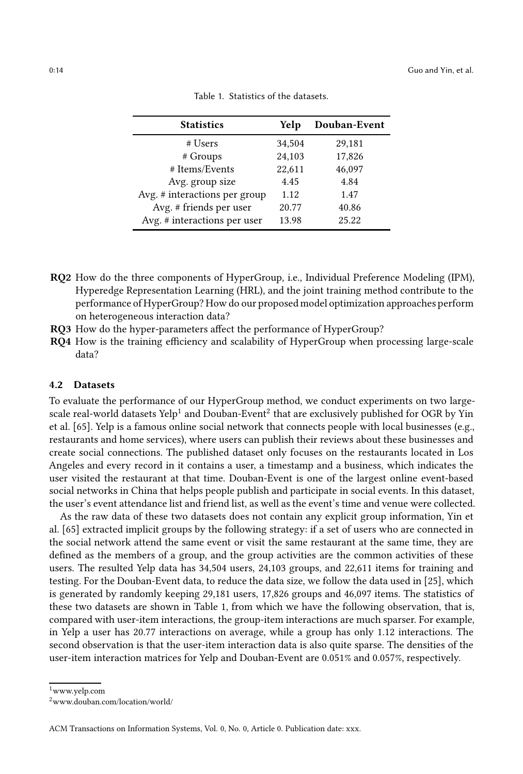<span id="page-13-2"></span>

| <b>Statistics</b>             | Yelp   | Douban-Event |
|-------------------------------|--------|--------------|
| # Users                       | 34,504 | 29,181       |
| # Groups                      | 24,103 | 17,826       |
| # Items/Events                | 22,611 | 46,097       |
| Avg. group size               | 4.45   | 4.84         |
| Avg. # interactions per group | 1.12   | 1.47         |
| Avg. # friends per user       | 20.77  | 40.86        |
| Avg. # interactions per user  | 13.98  | 25.22        |

| Table 1. Statistics of the datasets. |  |
|--------------------------------------|--|
|                                      |  |

- RQ2 How do the three components of HyperGroup, i.e., Individual Preference Modeling (IPM), Hyperedge Representation Learning (HRL), and the joint training method contribute to the performance of HyperGroup? How do our proposed model optimization approaches perform on heterogeneous interaction data?
- RQ3 How do the hyper-parameters affect the performance of HyperGroup?
- RQ4 How is the training efficiency and scalability of HyperGroup when processing large-scale data?

# 4.2 Datasets

To evaluate the performance of our HyperGroup method, we conduct experiments on two largescale real-world datasets Yelp $^1$  $^1$  and Douban-Event $^2$  $^2$  that are exclusively published for OGR by Yin et al. [\[65\]](#page-26-5). Yelp is a famous online social network that connects people with local businesses (e.g., restaurants and home services), where users can publish their reviews about these businesses and create social connections. The published dataset only focuses on the restaurants located in Los Angeles and every record in it contains a user, a timestamp and a business, which indicates the user visited the restaurant at that time. Douban-Event is one of the largest online event-based social networks in China that helps people publish and participate in social events. In this dataset, the user's event attendance list and friend list, as well as the event's time and venue were collected.

As the raw data of these two datasets does not contain any explicit group information, Yin et al. [\[65\]](#page-26-5) extracted implicit groups by the following strategy: if a set of users who are connected in the social network attend the same event or visit the same restaurant at the same time, they are defined as the members of a group, and the group activities are the common activities of these users. The resulted Yelp data has 34,504 users, 24,103 groups, and 22,611 items for training and testing. For the Douban-Event data, to reduce the data size, we follow the data used in [\[25](#page-25-2)], which is generated by randomly keeping 29,181 users, 17,826 groups and 46,097 items. The statistics of these two datasets are shown in Table [1,](#page-13-2) from which we have the following observation, that is, compared with user-item interactions, the group-item interactions are much sparser. For example, in Yelp a user has 20.77 interactions on average, while a group has only 1.12 interactions. The second observation is that the user-item interaction data is also quite sparse. The densities of the user-item interaction matrices for Yelp and Douban-Event are 0.051% and 0.057%, respectively.

<sup>1</sup>www.yelp.com

<span id="page-13-1"></span><span id="page-13-0"></span><sup>2</sup>www.douban.com/location/world/

ACM Transactions on Information Systems, Vol. 0, No. 0, Article 0. Publication date: xxx.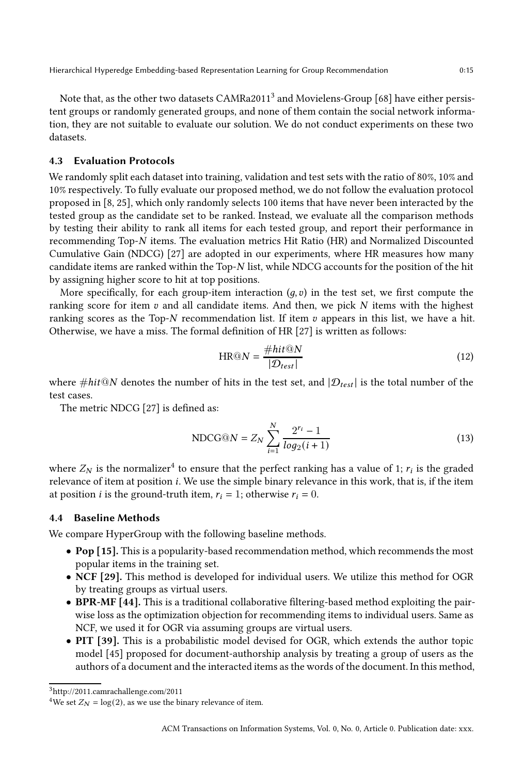Hierarchical Hyperedge Embedding-based Representation Learning for Group Recommendation 0:15

Note that, as the other two datasets  $\mathsf{CAMRa}2011^3$  $\mathsf{CAMRa}2011^3$  and Movielens-Group [\[68](#page-26-8)] have either persistent groups or randomly generated groups, and none of them contain the social network information, they are not suitable to evaluate our solution. We do not conduct experiments on these two datasets.

# 4.3 Evaluation Protocols

We randomly split each dataset into training, validation and test sets with the ratio of 80%, 10% and 10% respectively. To fully evaluate our proposed method, we do not follow the evaluation protocol proposed in [\[8](#page-24-2), [25\]](#page-25-2), which only randomly selects 100 items that have never been interacted by the tested group as the candidate set to be ranked. Instead, we evaluate all the comparison methods by testing their ability to rank all items for each tested group, and report their performance in recommending Top-N items. The evaluation metrics Hit Ratio (HR) and Normalized Discounted Cumulative Gain (NDCG) [\[27](#page-25-22)] are adopted in our experiments, where HR measures how many candidate items are ranked within the Top-N list, while NDCG accounts for the position of the hit by assigning higher score to hit at top positions.

More specifically, for each group-item interaction  $(q, v)$  in the test set, we first compute the ranking score for item  $v$  and all candidate items. And then, we pick  $N$  items with the highest ranking scores as the Top- $N$  recommendation list. If item  $v$  appears in this list, we have a hit. Otherwise, we have a miss. The formal definition of HR [\[27\]](#page-25-22) is written as follows:

$$
HR@N = \frac{\#hit@N}{|\mathcal{D}_{test}|}\tag{12}
$$

where #hit@N denotes the number of hits in the test set, and  $|\mathcal{D}_{test}|$  is the total number of the test cases.

The metric NDCG [\[27](#page-25-22)] is defined as:

$$
NDCG@N = Z_N \sum_{i=1}^{N} \frac{2^{r_i} - 1}{log_2(i+1)}
$$
(13)

where  $Z_N$  is the normalizer<sup>[4](#page-14-1)</sup> to ensure that the perfect ranking has a value of 1;  $r_i$  is the graded relevance of item at position  $i$ . We use the simple binary relevance in this work, that is, if the item at position *i* is the ground-truth item,  $r_i = 1$ ; otherwise  $r_i = 0$ .

# 4.4 Baseline Methods

We compare HyperGroup with the following baseline methods.

- Pop [\[15\]](#page-24-21). This is a popularity-based recommendation method, which recommends the most popular items in the training set.
- NCF [\[29](#page-25-23)]. This method is developed for individual users. We utilize this method for OGR by treating groups as virtual users.
- BPR-MF [\[44\]](#page-25-21). This is a traditional collaborative filtering-based method exploiting the pairwise loss as the optimization objection for recommending items to individual users. Same as NCF, we used it for OGR via assuming groups are virtual users.
- PIT [\[39\]](#page-25-7). This is a probabilistic model devised for OGR, which extends the author topic model [\[45](#page-25-24)] proposed for document-authorship analysis by treating a group of users as the authors of a document and the interacted items as the words of the document. In this method,

<sup>3</sup>http://2011.camrachallenge.com/2011

<span id="page-14-1"></span><span id="page-14-0"></span><sup>&</sup>lt;sup>4</sup>We set  $Z_N = \log(2)$ , as we use the binary relevance of item.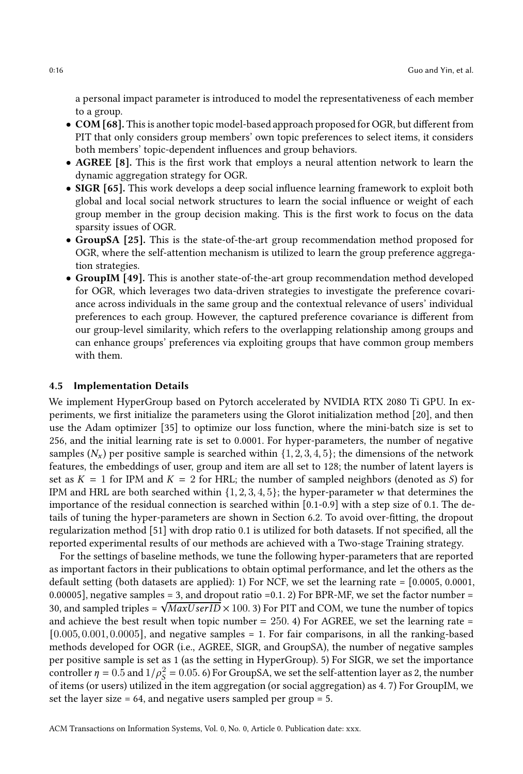a personal impact parameter is introduced to model the representativeness of each member to a group.

- COM [\[68](#page-26-8)]. This is another topic model-based approach proposed for OGR, but different from PIT that only considers group members' own topic preferences to select items, it considers both members' topic-dependent influences and group behaviors.
- AGREE [\[8](#page-24-2)]. This is the first work that employs a neural attention network to learn the dynamic aggregation strategy for OGR.
- SIGR [\[65](#page-26-5)]. This work develops a deep social influence learning framework to exploit both global and local social network structures to learn the social influence or weight of each group member in the group decision making. This is the first work to focus on the data sparsity issues of OGR.
- GroupSA [\[25](#page-25-2)]. This is the state-of-the-art group recommendation method proposed for OGR, where the self-attention mechanism is utilized to learn the group preference aggregation strategies.
- GroupIM [\[49\]](#page-25-12). This is another state-of-the-art group recommendation method developed for OGR, which leverages two data-driven strategies to investigate the preference covariance across individuals in the same group and the contextual relevance of users' individual preferences to each group. However, the captured preference covariance is different from our group-level similarity, which refers to the overlapping relationship among groups and can enhance groups' preferences via exploiting groups that have common group members with them.

#### 4.5 Implementation Details

We implement HyperGroup based on Pytorch accelerated by NVIDIA RTX 2080 Ti GPU. In experiments, we first initialize the parameters using the Glorot initialization method [\[20\]](#page-24-22), and then use the Adam optimizer [\[35](#page-25-25)] to optimize our loss function, where the mini-batch size is set to 256, and the initial learning rate is set to 0.0001. For hyper-parameters, the number of negative samples  $(N_x)$  per positive sample is searched within  $\{1, 2, 3, 4, 5\}$ ; the dimensions of the network features, the embeddings of user, group and item are all set to 128; the number of latent layers is set as  $K = 1$  for IPM and  $K = 2$  for HRL; the number of sampled neighbors (denoted as S) for IPM and HRL are both searched within  $\{1, 2, 3, 4, 5\}$ ; the hyper-parameter w that determines the importance of the residual connection is searched within [0.1-0.9] with a step size of 0.1. The details of tuning the hyper-parameters are shown in Section [6.2.](#page-21-0) To avoid over-fitting, the dropout regularization method [\[51\]](#page-26-19) with drop ratio 0.1 is utilized for both datasets. If not specified, all the reported experimental results of our methods are achieved with a Two-stage Training strategy.

For the settings of baseline methods, we tune the following hyper-parameters that are reported as important factors in their publications to obtain optimal performance, and let the others as the default setting (both datasets are applied): 1) For NCF, we set the learning rate = [0.0005, 0.0001, 0.00005], negative samples = 3, and dropout ratio =  $0.1$ . 2) For BPR-MF, we set the factor number = 30, and sampled triples =  $\sqrt{MaxUserID} \times 100.3$  For PIT and COM, we tune the number of topics and achieve the best result when topic number  $= 250$ . 4) For AGREE, we set the learning rate  $=$  $[0.005, 0.001, 0.0005]$ , and negative samples = 1. For fair comparisons, in all the ranking-based methods developed for OGR (i.e., AGREE, SIGR, and GroupSA), the number of negative samples per positive sample is set as 1 (as the setting in HyperGroup). 5) For SIGR, we set the importance controller  $\eta = 0.5$  and  $1/\rho_s^2$  $\sigma_S^2$  = 0.05. 6) For GroupSA, we set the self-attention layer as 2, the number of items (or users) utilized in the item aggregation (or social aggregation) as 4. 7) For GroupIM, we set the layer size  $= 64$ , and negative users sampled per group  $= 5$ .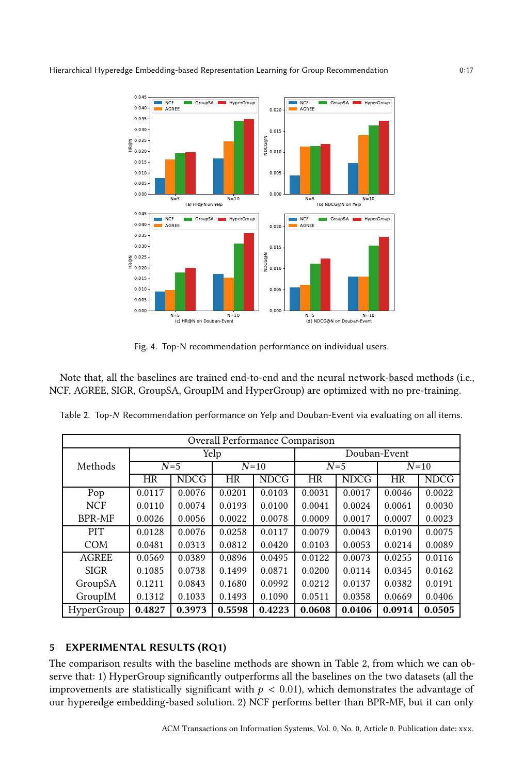<span id="page-16-1"></span>

Fig. 4. Top-N recommendation performance on individual users.

Note that, all the baselines are trained end-to-end and the neural network-based methods (i.e., NCF, AGREE, SIGR, GroupSA, GroupIM and HyperGroup) are optimized with no pre-training.

|               | Overall Performance Comparison |             |           |             |           |             |              |             |  |
|---------------|--------------------------------|-------------|-----------|-------------|-----------|-------------|--------------|-------------|--|
|               |                                |             | Yelp      |             |           |             | Douban-Event |             |  |
| Methods       |                                | $N=5$       |           | $N=10$      |           | $N=5$       |              | $N=10$      |  |
|               | HR                             | <b>NDCG</b> | <b>HR</b> | <b>NDCG</b> | <b>HR</b> | <b>NDCG</b> | <b>HR</b>    | <b>NDCG</b> |  |
| Pop           | 0.0117                         | 0.0076      | 0.0201    | 0.0103      | 0.0031    | 0.0017      | 0.0046       | 0.0022      |  |
| <b>NCF</b>    | 0.0110                         | 0.0074      | 0.0193    | 0.0100      | 0.0041    | 0.0024      | 0.0061       | 0.0030      |  |
| <b>BPR-MF</b> | 0.0026                         | 0.0056      | 0.0022    | 0.0078      | 0.0009    | 0.0017      | 0.0007       | 0.0023      |  |
| <b>PIT</b>    | 0.0128                         | 0.0076      | 0.0258    | 0.0117      | 0.0079    | 0.0043      | 0.0190       | 0.0075      |  |
| <b>COM</b>    | 0.0481                         | 0.0313      | 0.0812    | 0.0420      | 0.0103    | 0.0053      | 0.0214       | 0.0089      |  |
| <b>AGREE</b>  | 0.0569                         | 0.0389      | 0.0896    | 0.0495      | 0.0122    | 0.0073      | 0.0255       | 0.0116      |  |
| <b>SIGR</b>   | 0.1085                         | 0.0738      | 0.1499    | 0.0871      | 0.0200    | 0.0114      | 0.0345       | 0.0162      |  |
| GroupSA       | 0.1211                         | 0.0843      | 0.1680    | 0.0992      | 0.0212    | 0.0137      | 0.0382       | 0.0191      |  |
| GroupIM       | 0.1312                         | 0.1033      | 0.1493    | 0.1090      | 0.0511    | 0.0358      | 0.0669       | 0.0406      |  |
| HyperGroup    | 0.4827                         | 0.3973      | 0.5598    | 0.4223      | 0.0608    | 0.0406      | 0.0914       | 0.0505      |  |

<span id="page-16-0"></span>Table 2. Top-N Recommendation performance on Yelp and Douban-Event via evaluating on all items.

# 5 EXPERIMENTAL RESULTS (RQ1)

The comparison results with the baseline methods are shown in Table [2,](#page-16-0) from which we can observe that: 1) HyperGroup significantly outperforms all the baselines on the two datasets (all the improvements are statistically significant with  $p < 0.01$ ), which demonstrates the advantage of our hyperedge embedding-based solution. 2) NCF performs better than BPR-MF, but it can only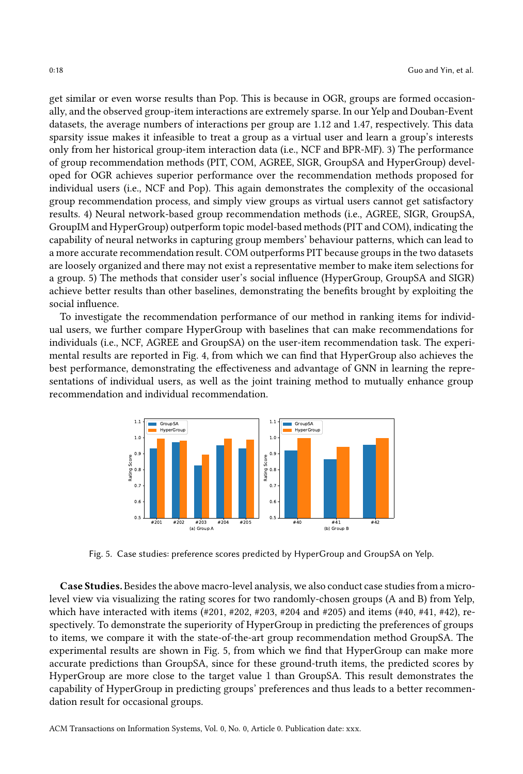get similar or even worse results than Pop. This is because in OGR, groups are formed occasionally, and the observed group-item interactions are extremely sparse. In our Yelp and Douban-Event datasets, the average numbers of interactions per group are 1.12 and 1.47, respectively. This data sparsity issue makes it infeasible to treat a group as a virtual user and learn a group's interests only from her historical group-item interaction data (i.e., NCF and BPR-MF). 3) The performance of group recommendation methods (PIT, COM, AGREE, SIGR, GroupSA and HyperGroup) developed for OGR achieves superior performance over the recommendation methods proposed for individual users (i.e., NCF and Pop). This again demonstrates the complexity of the occasional group recommendation process, and simply view groups as virtual users cannot get satisfactory results. 4) Neural network-based group recommendation methods (i.e., AGREE, SIGR, GroupSA, GroupIM and HyperGroup) outperform topic model-based methods (PIT and COM), indicating the capability of neural networks in capturing group members' behaviour patterns, which can lead to a more accurate recommendation result. COM outperforms PIT because groups in the two datasets are loosely organized and there may not exist a representative member to make item selections for a group. 5) The methods that consider user's social influence (HyperGroup, GroupSA and SIGR) achieve better results than other baselines, demonstrating the benefits brought by exploiting the social influence.

To investigate the recommendation performance of our method in ranking items for individual users, we further compare HyperGroup with baselines that can make recommendations for individuals (i.e., NCF, AGREE and GroupSA) on the user-item recommendation task. The experimental results are reported in Fig. [4,](#page-16-1) from which we can find that HyperGroup also achieves the best performance, demonstrating the effectiveness and advantage of GNN in learning the representations of individual users, as well as the joint training method to mutually enhance group recommendation and individual recommendation.

<span id="page-17-0"></span>

Fig. 5. Case studies: preference scores predicted by HyperGroup and GroupSA on Yelp.

Case Studies. Besides the above macro-level analysis, we also conduct case studies from a microlevel view via visualizing the rating scores for two randomly-chosen groups (A and B) from Yelp, which have interacted with items (#201, #202, #203, #204 and #205) and items (#40, #41, #42), respectively. To demonstrate the superiority of HyperGroup in predicting the preferences of groups to items, we compare it with the state-of-the-art group recommendation method GroupSA. The experimental results are shown in Fig. [5,](#page-17-0) from which we find that HyperGroup can make more accurate predictions than GroupSA, since for these ground-truth items, the predicted scores by HyperGroup are more close to the target value 1 than GroupSA. This result demonstrates the capability of HyperGroup in predicting groups' preferences and thus leads to a better recommendation result for occasional groups.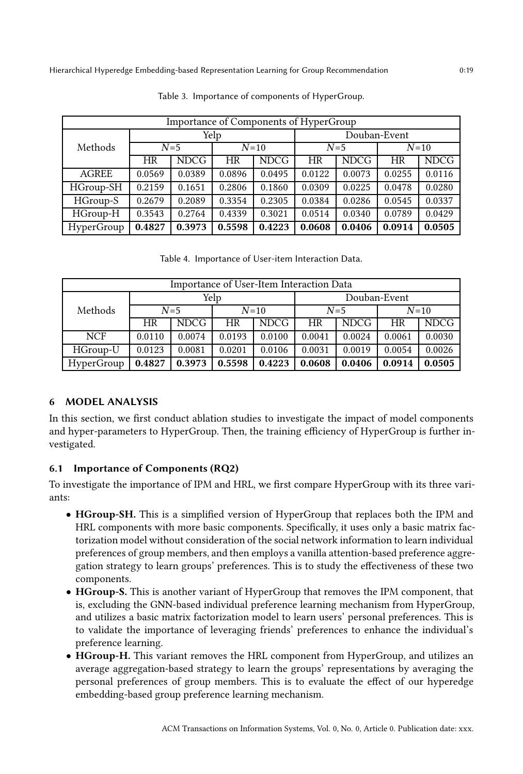<span id="page-18-0"></span>

| Importance of Components of HyperGroup |        |                 |        |              |           |             |           |             |
|----------------------------------------|--------|-----------------|--------|--------------|-----------|-------------|-----------|-------------|
|                                        | Yelp   |                 |        | Douban-Event |           |             |           |             |
| Methods                                |        | $N=10$<br>$N=5$ |        | $N=5$        |           | $N=10$      |           |             |
|                                        | HR     | <b>NDCG</b>     | HR     | <b>NDCG</b>  | <b>HR</b> | <b>NDCG</b> | <b>HR</b> | <b>NDCG</b> |
| <b>AGREE</b>                           | 0.0569 | 0.0389          | 0.0896 | 0.0495       | 0.0122    | 0.0073      | 0.0255    | 0.0116      |
| HGroup-SH                              | 0.2159 | 0.1651          | 0.2806 | 0.1860       | 0.0309    | 0.0225      | 0.0478    | 0.0280      |
| HGroup-S                               | 0.2679 | 0.2089          | 0.3354 | 0.2305       | 0.0384    | 0.0286      | 0.0545    | 0.0337      |
| HGroup-H                               | 0.3543 | 0.2764          | 0.4339 | 0.3021       | 0.0514    | 0.0340      | 0.0789    | 0.0429      |
| HyperGroup                             | 0.4827 | 0.3973          | 0.5598 | 0.4223       | 0.0608    | 0.0406      | 0.0914    | 0.0505      |

Table 3. Importance of components of HyperGroup.

Table 4. Importance of User-item Interaction Data.

<span id="page-18-1"></span>

| Importance of User-Item Interaction Data |           |             |        |        |              |             |        |             |
|------------------------------------------|-----------|-------------|--------|--------|--------------|-------------|--------|-------------|
|                                          | Yelp      |             |        |        | Douban-Event |             |        |             |
| Methods                                  |           | $N=5$       | $N=10$ |        | $N=5$        |             | $N=10$ |             |
|                                          | <b>HR</b> | <b>NDCG</b> | HR     | NDCG.  | <b>HR</b>    | <b>NDCG</b> | HR     | <b>NDCG</b> |
| <b>NCF</b>                               | 0.0110    | 0.0074      | 0.0193 | 0.0100 | 0.0041       | 0.0024      | 0.0061 | 0.0030      |
| HGroup-U                                 | 0.0123    | 0.0081      | 0.0201 | 0.0106 | 0.0031       | 0.0019      | 0.0054 | 0.0026      |
| HyperGroup                               | 0.4827    | 0.3973      | 0.5598 | 0.4223 | 0.0608       | 0.0406      | 0.0914 | 0.0505      |

# 6 MODEL ANALYSIS

In this section, we first conduct ablation studies to investigate the impact of model components and hyper-parameters to HyperGroup. Then, the training efficiency of HyperGroup is further investigated.

# 6.1 Importance of Components (RQ2)

To investigate the importance of IPM and HRL, we first compare HyperGroup with its three variants:

- HGroup-SH. This is a simplified version of HyperGroup that replaces both the IPM and HRL components with more basic components. Specifically, it uses only a basic matrix factorization model without consideration of the social network information to learn individual preferences of group members, and then employs a vanilla attention-based preference aggregation strategy to learn groups' preferences. This is to study the effectiveness of these two components.
- HGroup-S. This is another variant of HyperGroup that removes the IPM component, that is, excluding the GNN-based individual preference learning mechanism from HyperGroup, and utilizes a basic matrix factorization model to learn users' personal preferences. This is to validate the importance of leveraging friends' preferences to enhance the individual's preference learning.
- HGroup-H. This variant removes the HRL component from HyperGroup, and utilizes an average aggregation-based strategy to learn the groups' representations by averaging the personal preferences of group members. This is to evaluate the effect of our hyperedge embedding-based group preference learning mechanism.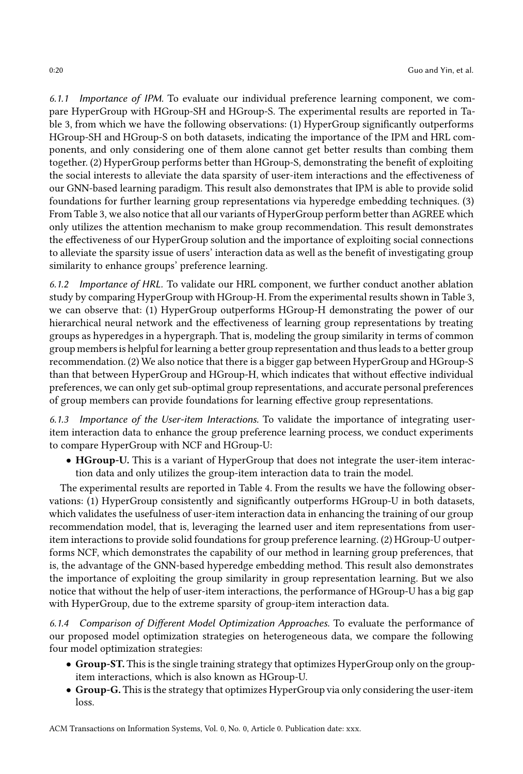6.1.1 Importance of IPM. To evaluate our individual preference learning component, we compare HyperGroup with HGroup-SH and HGroup-S. The experimental results are reported in Table [3,](#page-18-0) from which we have the following observations: (1) HyperGroup significantly outperforms HGroup-SH and HGroup-S on both datasets, indicating the importance of the IPM and HRL components, and only considering one of them alone cannot get better results than combing them together. (2) HyperGroup performs better than HGroup-S, demonstrating the benefit of exploiting the social interests to alleviate the data sparsity of user-item interactions and the effectiveness of our GNN-based learning paradigm. This result also demonstrates that IPM is able to provide solid foundations for further learning group representations via hyperedge embedding techniques. (3) From Table [3,](#page-18-0) we also notice that all our variants of HyperGroup perform better than AGREE which only utilizes the attention mechanism to make group recommendation. This result demonstrates the effectiveness of our HyperGroup solution and the importance of exploiting social connections to alleviate the sparsity issue of users' interaction data as well as the benefit of investigating group similarity to enhance groups' preference learning.

6.1.2 Importance of HRL. To validate our HRL component, we further conduct another ablation study by comparing HyperGroup with HGroup-H. From the experimental results shown in Table [3,](#page-18-0) we can observe that: (1) HyperGroup outperforms HGroup-H demonstrating the power of our hierarchical neural network and the effectiveness of learning group representations by treating groups as hyperedges in a hypergraph. That is, modeling the group similarity in terms of common group members is helpful for learning a better group representation and thus leads to a better group recommendation. (2) We also notice that there is a bigger gap between HyperGroup and HGroup-S than that between HyperGroup and HGroup-H, which indicates that without effective individual preferences, we can only get sub-optimal group representations, and accurate personal preferences of group members can provide foundations for learning effective group representations.

6.1.3 Importance of the User-item Interactions. To validate the importance of integrating useritem interaction data to enhance the group preference learning process, we conduct experiments to compare HyperGroup with NCF and HGroup-U:

• HGroup-U. This is a variant of HyperGroup that does not integrate the user-item interaction data and only utilizes the group-item interaction data to train the model.

The experimental results are reported in Table [4.](#page-18-1) From the results we have the following observations: (1) HyperGroup consistently and significantly outperforms HGroup-U in both datasets, which validates the usefulness of user-item interaction data in enhancing the training of our group recommendation model, that is, leveraging the learned user and item representations from useritem interactions to provide solid foundations for group preference learning. (2) HGroup-U outperforms NCF, which demonstrates the capability of our method in learning group preferences, that is, the advantage of the GNN-based hyperedge embedding method. This result also demonstrates the importance of exploiting the group similarity in group representation learning. But we also notice that without the help of user-item interactions, the performance of HGroup-U has a big gap with HyperGroup, due to the extreme sparsity of group-item interaction data.

6.1.4 Comparison of Different Model Optimization Approaches. To evaluate the performance of our proposed model optimization strategies on heterogeneous data, we compare the following four model optimization strategies:

- Group-ST. This is the single training strategy that optimizes HyperGroup only on the groupitem interactions, which is also known as HGroup-U.
- Group-G. This is the strategy that optimizes HyperGroup via only considering the user-item loss.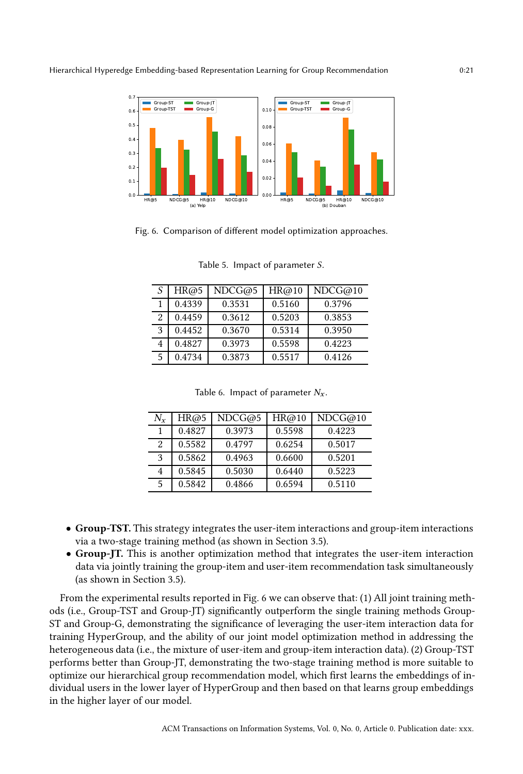<span id="page-20-0"></span>

<span id="page-20-1"></span>Fig. 6. Comparison of different model optimization approaches.

|                | HR@5   | NDCG@5 | HR@10  | NDCG@10 |
|----------------|--------|--------|--------|---------|
|                | 0.4339 | 0.3531 | 0.5160 | 0.3796  |
| $\overline{2}$ | 0.4459 | 0.3612 | 0.5203 | 0.3853  |
| 3              | 0.4452 | 0.3670 | 0.5314 | 0.3950  |
|                | 0.4827 | 0.3973 | 0.5598 | 0.4223  |
|                | 0.4734 | 0.3873 | 0.5517 | 0.4126  |

Table 5. Impact of parameter  $S$ .

|  | Table 6. Impact of parameter $N_x$ . |  |
|--|--------------------------------------|--|
|--|--------------------------------------|--|

<span id="page-20-2"></span>

| $N_{r}$ | HR@5   | NDCG@5 | HR@10  | NDCG@10 |
|---------|--------|--------|--------|---------|
|         | 0.4827 | 0.3973 | 0.5598 | 0.4223  |
| 2       | 0.5582 | 0.4797 | 0.6254 | 0.5017  |
| 3       | 0.5862 | 0.4963 | 0.6600 | 0.5201  |
| 4       | 0.5845 | 0.5030 | 0.6440 | 0.5223  |
| 5       | 0.5842 | 0.4866 | 0.6594 | 0.5110  |

- Group-TST. This strategy integrates the user-item interactions and group-item interactions via a two-stage training method (as shown in Section [3.5\)](#page-10-1).
- Group-JT. This is another optimization method that integrates the user-item interaction data via jointly training the group-item and user-item recommendation task simultaneously (as shown in Section [3.5\)](#page-10-1).

From the experimental results reported in Fig. [6](#page-20-0) we can observe that: (1) All joint training methods (i.e., Group-TST and Group-JT) significantly outperform the single training methods Group-ST and Group-G, demonstrating the significance of leveraging the user-item interaction data for training HyperGroup, and the ability of our joint model optimization method in addressing the heterogeneous data (i.e., the mixture of user-item and group-item interaction data). (2) Group-TST performs better than Group-JT, demonstrating the two-stage training method is more suitable to optimize our hierarchical group recommendation model, which first learns the embeddings of individual users in the lower layer of HyperGroup and then based on that learns group embeddings in the higher layer of our model.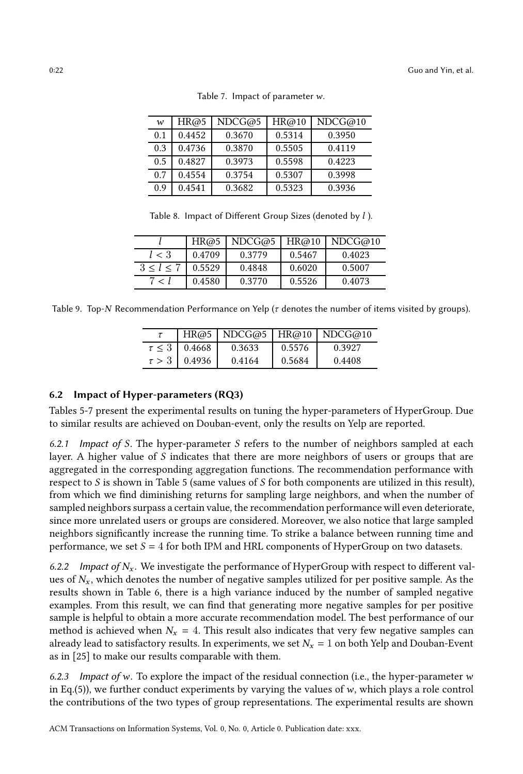<span id="page-21-1"></span>

| $\boldsymbol{w}$ | HR@5   | NDCG@5 | HR@10  | NDCG@10 |
|------------------|--------|--------|--------|---------|
| 0.1              | 0.4452 | 0.3670 | 0.5314 | 0.3950  |
| 0.3              | 0.4736 | 0.3870 | 0.5505 | 0.4119  |
| 0.5              | 0.4827 | 0.3973 | 0.5598 | 0.4223  |
| 0.7              | 0.4554 | 0.3754 | 0.5307 | 0.3998  |
| 0.9              | 0.4541 | 0.3682 | 0.5323 | 0.3936  |

Table 7. Impact of parameter  $w$ .

Table 8. Impact of Different Group Sizes (denoted by  $l$ ).

<span id="page-21-2"></span>

|           | HR@5   | NDCG@5 | HR@10  | NDCG@10 |
|-----------|--------|--------|--------|---------|
| l < 3     | 0.4709 | 0.3779 | 0.5467 | 0.4023  |
| 3 < l < 7 | 0.5529 | 0.4848 | 0.6020 | 0.5007  |
|           | 0.4580 | 0.3770 | 0.5526 | 0.4073  |

<span id="page-21-3"></span>Table 9. Top-N Recommendation Performance on Yelp ( $\tau$  denotes the number of items visited by groups).

|            |                        |        |        | HR@5   NDCG@5   HR@10   NDCG@10 |
|------------|------------------------|--------|--------|---------------------------------|
|            | $\tau \leq 3$   0.4668 | 0.3633 | 0.5576 | 0.3927                          |
| $\tau > 3$ | 0.4936                 | 0.4164 | 0.5684 | 0.4408                          |

# <span id="page-21-0"></span>6.2 Impact of Hyper-parameters (RQ3)

Tables [5-](#page-20-1)[7](#page-21-1) present the experimental results on tuning the hyper-parameters of HyperGroup. Due to similar results are achieved on Douban-event, only the results on Yelp are reported.

6.2.1 Impact of S. The hyper-parameter S refers to the number of neighbors sampled at each layer. A higher value of  $S$  indicates that there are more neighbors of users or groups that are aggregated in the corresponding aggregation functions. The recommendation performance with respect to  $S$  is shown in Table [5](#page-20-1) (same values of  $S$  for both components are utilized in this result), from which we find diminishing returns for sampling large neighbors, and when the number of sampled neighbors surpass a certain value, the recommendation performance will even deteriorate, since more unrelated users or groups are considered. Moreover, we also notice that large sampled neighbors significantly increase the running time. To strike a balance between running time and performance, we set  $S = 4$  for both IPM and HRL components of HyperGroup on two datasets.

6.2.2 Impact of  $N_x$ . We investigate the performance of HyperGroup with respect to different values of  $N_x$ , which denotes the number of negative samples utilized for per positive sample. As the results shown in Table [6,](#page-20-2) there is a high variance induced by the number of sampled negative examples. From this result, we can find that generating more negative samples for per positive sample is helpful to obtain a more accurate recommendation model. The best performance of our method is achieved when  $N_x = 4$ . This result also indicates that very few negative samples can already lead to satisfactory results. In experiments, we set  $N_x = 1$  on both Yelp and Douban-Event as in [\[25](#page-25-2)] to make our results comparable with them.

6.2.3 Impact of w. To explore the impact of the residual connection (i.e., the hyper-parameter  $w$ in Eq.[\(5\)](#page-10-2)), we further conduct experiments by varying the values of  $w$ , which plays a role control the contributions of the two types of group representations. The experimental results are shown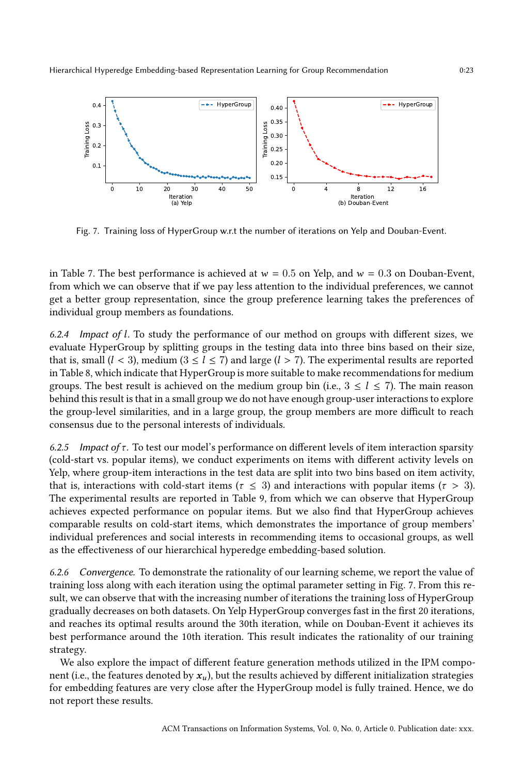<span id="page-22-0"></span>

Fig. 7. Training loss of HyperGroup w.r.t the number of iterations on Yelp and Douban-Event.

in Table [7.](#page-21-1) The best performance is achieved at  $w = 0.5$  on Yelp, and  $w = 0.3$  on Douban-Event, from which we can observe that if we pay less attention to the individual preferences, we cannot get a better group representation, since the group preference learning takes the preferences of individual group members as foundations.

6.2.4 Impact of  $l$ . To study the performance of our method on groups with different sizes, we evaluate HyperGroup by splitting groups in the testing data into three bins based on their size, that is, small  $(l < 3)$ , medium  $(3 \le l \le 7)$  and large  $(l > 7)$ . The experimental results are reported in Table [8,](#page-21-2) which indicate that HyperGroup is more suitable to make recommendations for medium groups. The best result is achieved on the medium group bin (i.e.,  $3 \le l \le 7$ ). The main reason behind this result is that in a small group we do not have enough group-user interactions to explore the group-level similarities, and in a large group, the group members are more difficult to reach consensus due to the personal interests of individuals.

6.2.5 Impact of  $\tau$ . To test our model's performance on different levels of item interaction sparsity (cold-start vs. popular items), we conduct experiments on items with different activity levels on Yelp, where group-item interactions in the test data are split into two bins based on item activity, that is, interactions with cold-start items ( $\tau \leq 3$ ) and interactions with popular items ( $\tau > 3$ ). The experimental results are reported in Table [9,](#page-21-3) from which we can observe that HyperGroup achieves expected performance on popular items. But we also find that HyperGroup achieves comparable results on cold-start items, which demonstrates the importance of group members' individual preferences and social interests in recommending items to occasional groups, as well as the effectiveness of our hierarchical hyperedge embedding-based solution.

6.2.6 Convergence. To demonstrate the rationality of our learning scheme, we report the value of training loss along with each iteration using the optimal parameter setting in Fig. [7.](#page-22-0) From this result, we can observe that with the increasing number of iterations the training loss of HyperGroup gradually decreases on both datasets. On Yelp HyperGroup converges fast in the first 20 iterations, and reaches its optimal results around the 30th iteration, while on Douban-Event it achieves its best performance around the 10th iteration. This result indicates the rationality of our training strategy.

We also explore the impact of different feature generation methods utilized in the IPM component (i.e., the features denoted by  $x_u$ ), but the results achieved by different initialization strategies for embedding features are very close after the HyperGroup model is fully trained. Hence, we do not report these results.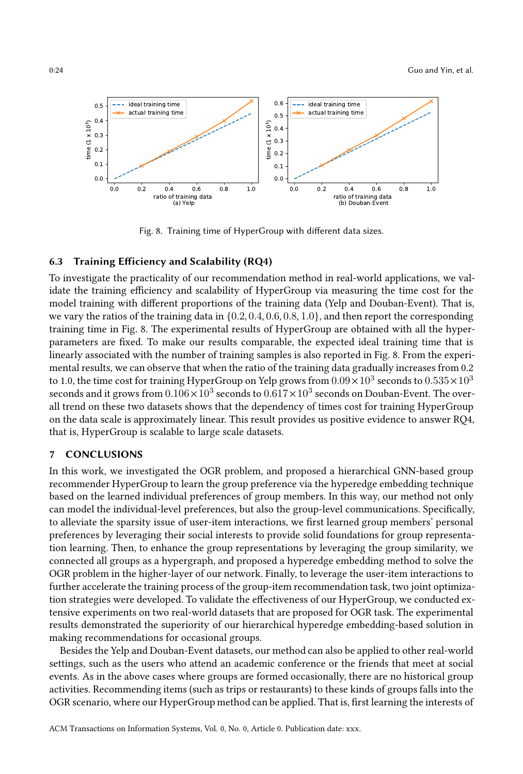<span id="page-23-0"></span>

Fig. 8. Training time of HyperGroup with different data sizes.

# 6.3 Training Efficiency and Scalability (RQ4)

To investigate the practicality of our recommendation method in real-world applications, we validate the training efficiency and scalability of HyperGroup via measuring the time cost for the model training with different proportions of the training data (Yelp and Douban-Event). That is, we vary the ratios of the training data in  $\{0.2, 0.4, 0.6, 0.8, 1.0\}$ , and then report the corresponding training time in Fig. [8.](#page-23-0) The experimental results of HyperGroup are obtained with all the hyperparameters are fixed. To make our results comparable, the expected ideal training time that is linearly associated with the number of training samples is also reported in Fig. [8.](#page-23-0) From the experimental results, we can observe that when the ratio of the training data gradually increases from 0.2 to 1.0, the time cost for training HyperGroup on Yelp grows from  $0.09 \times 10^3$  seconds to  $0.535 \times 10^3$ seconds and it grows from  $0.106 \times 10^3$  seconds to  $0.617 \times 10^3$  seconds on Douban-Event. The overall trend on these two datasets shows that the dependency of times cost for training HyperGroup on the data scale is approximately linear. This result provides us positive evidence to answer RQ4, that is, HyperGroup is scalable to large scale datasets.

### 7 CONCLUSIONS

In this work, we investigated the OGR problem, and proposed a hierarchical GNN-based group recommender HyperGroup to learn the group preference via the hyperedge embedding technique based on the learned individual preferences of group members. In this way, our method not only can model the individual-level preferences, but also the group-level communications. Specifically, to alleviate the sparsity issue of user-item interactions, we first learned group members' personal preferences by leveraging their social interests to provide solid foundations for group representation learning. Then, to enhance the group representations by leveraging the group similarity, we connected all groups as a hypergraph, and proposed a hyperedge embedding method to solve the OGR problem in the higher-layer of our network. Finally, to leverage the user-item interactions to further accelerate the training process of the group-item recommendation task, two joint optimization strategies were developed. To validate the effectiveness of our HyperGroup, we conducted extensive experiments on two real-world datasets that are proposed for OGR task. The experimental results demonstrated the superiority of our hierarchical hyperedge embedding-based solution in making recommendations for occasional groups.

Besides the Yelp and Douban-Event datasets, our method can also be applied to other real-world settings, such as the users who attend an academic conference or the friends that meet at social events. As in the above cases where groups are formed occasionally, there are no historical group activities. Recommending items (such as trips or restaurants) to these kinds of groups falls into the OGR scenario, where our HyperGroup method can be applied. That is, first learning the interests of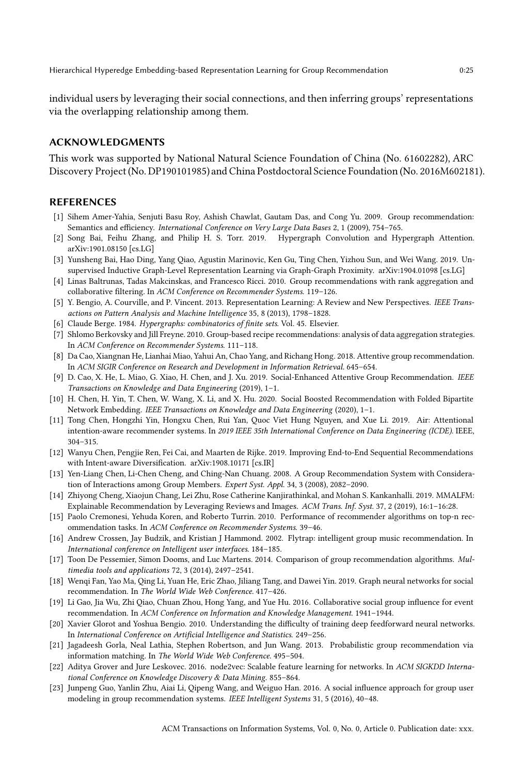individual users by leveraging their social connections, and then inferring groups' representations via the overlapping relationship among them.

# ACKNOWLEDGMENTS

This work was supported by National Natural Science Foundation of China (No. 61602282), ARC Discovery Project (No. DP190101985) and China Postdoctoral Science Foundation (No. 2016M602181).

#### REFERENCES

- <span id="page-24-5"></span>[1] Sihem Amer-Yahia, Senjuti Basu Roy, Ashish Chawlat, Gautam Das, and Cong Yu. 2009. Group recommendation: Semantics and efficiency. International Conference on Very Large Data Bases 2, 1 (2009), 754-765.
- <span id="page-24-18"></span>[2] Song Bai, Feihu Zhang, and Philip H. S. Torr. 2019. Hypergraph Convolution and Hypergraph Attention. arXiv[:1901.08150](https://arxiv.org/abs/1901.08150) [cs.LG]
- <span id="page-24-20"></span>[3] Yunsheng Bai, Hao Ding, Yang Qiao, Agustin Marinovic, Ken Gu, Ting Chen, Yizhou Sun, and Wei Wang. 2019. Unsupervised Inductive Graph-Level Representation Learning via Graph-Graph Proximity. arXiv[:1904.01098](https://arxiv.org/abs/1904.01098) [cs.LG]
- <span id="page-24-4"></span>[4] Linas Baltrunas, Tadas Makcinskas, and Francesco Ricci. 2010. Group recommendations with rank aggregation and collaborative filtering. In ACM Conference on Recommender Systems. 119–126.
- <span id="page-24-10"></span>[5] Y. Bengio, A. Courville, and P. Vincent. 2013. Representation Learning: A Review and New Perspectives. IEEE Transactions on Pattern Analysis and Machine Intelligence 35, 8 (2013), 1798–1828.
- <span id="page-24-19"></span>[6] Claude Berge. 1984. Hypergraphs: combinatorics of finite sets. Vol. 45. Elsevier.
- <span id="page-24-6"></span>[7] Shlomo Berkovsky and Jill Freyne. 2010. Group-based recipe recommendations: analysis of data aggregation strategies. In ACM Conference on Recommender Systems. 111–118.
- <span id="page-24-2"></span>[8] Da Cao, Xiangnan He, Lianhai Miao, Yahui An, Chao Yang, and Richang Hong. 2018. Attentive group recommendation. In ACM SIGIR Conference on Research and Development in Information Retrieval. 645–654.
- <span id="page-24-1"></span>[9] D. Cao, X. He, L. Miao, G. Xiao, H. Chen, and J. Xu. 2019. Social-Enhanced Attentive Group Recommendation. IEEE Transactions on Knowledge and Data Engineering (2019), 1–1.
- <span id="page-24-14"></span>[10] H. Chen, H. Yin, T. Chen, W. Wang, X. Li, and X. Hu. 2020. Social Boosted Recommendation with Folded Bipartite Network Embedding. IEEE Transactions on Knowledge and Data Engineering (2020), 1–1.
- <span id="page-24-3"></span>[11] Tong Chen, Hongzhi Yin, Hongxu Chen, Rui Yan, Quoc Viet Hung Nguyen, and Xue Li. 2019. Air: Attentional intention-aware recommender systems. In 2019 IEEE 35th International Conference on Data Engineering (ICDE). IEEE, 304–315.
- <span id="page-24-8"></span>[12] Wanyu Chen, Pengjie Ren, Fei Cai, and Maarten de Rijke. 2019. Improving End-to-End Sequential Recommendations with Intent-aware Diversification. arXiv[:1908.10171](https://arxiv.org/abs/1908.10171) [cs.IR]
- <span id="page-24-7"></span>[13] Yen-Liang Chen, Li-Chen Cheng, and Ching-Nan Chuang. 2008. A Group Recommendation System with Consideration of Interactions among Group Members. Expert Syst. Appl. 34, 3 (2008), 2082-2090.
- <span id="page-24-9"></span>[14] Zhiyong Cheng, Xiaojun Chang, Lei Zhu, Rose Catherine Kanjirathinkal, and Mohan S. Kankanhalli. 2019. MMALFM: Explainable Recommendation by Leveraging Reviews and Images. ACM Trans. Inf. Syst. 37, 2 (2019), 16:1–16:28.
- <span id="page-24-21"></span>[15] Paolo Cremonesi, Yehuda Koren, and Roberto Turrin. 2010. Performance of recommender algorithms on top-n recommendation tasks. In ACM Conference on Recommender Systems. 39–46.
- <span id="page-24-11"></span>[16] Andrew Crossen, Jay Budzik, and Kristian J Hammond. 2002. Flytrap: intelligent group music recommendation. In International conference on Intelligent user interfaces. 184–185.
- <span id="page-24-12"></span>[17] Toon De Pessemier, Simon Dooms, and Luc Martens. 2014. Comparison of group recommendation algorithms. Multimedia tools and applications 72, 3 (2014), 2497–2541.
- <span id="page-24-15"></span>[18] Wenqi Fan, Yao Ma, Qing Li, Yuan He, Eric Zhao, Jiliang Tang, and Dawei Yin. 2019. Graph neural networks for social recommendation. In The World Wide Web Conference. 417–426.
- <span id="page-24-0"></span>[19] Li Gao, Jia Wu, Zhi Qiao, Chuan Zhou, Hong Yang, and Yue Hu. 2016. Collaborative social group influence for event recommendation. In ACM Conference on Information and Knowledge Management. 1941–1944.
- <span id="page-24-22"></span>[20] Xavier Glorot and Yoshua Bengio. 2010. Understanding the difficulty of training deep feedforward neural networks. In International Conference on Artificial Intelligence and Statistics. 249–256.
- <span id="page-24-13"></span>[21] Jagadeesh Gorla, Neal Lathia, Stephen Robertson, and Jun Wang. 2013. Probabilistic group recommendation via information matching. In The World Wide Web Conference. 495–504.
- <span id="page-24-17"></span>[22] Aditya Grover and Jure Leskovec. 2016. node2vec: Scalable feature learning for networks. In ACM SIGKDD International Conference on Knowledge Discovery & Data Mining. 855–864.
- <span id="page-24-16"></span>[23] Junpeng Guo, Yanlin Zhu, Aiai Li, Qipeng Wang, and Weiguo Han. 2016. A social influence approach for group user modeling in group recommendation systems. IEEE Intelligent Systems 31, 5 (2016), 40–48.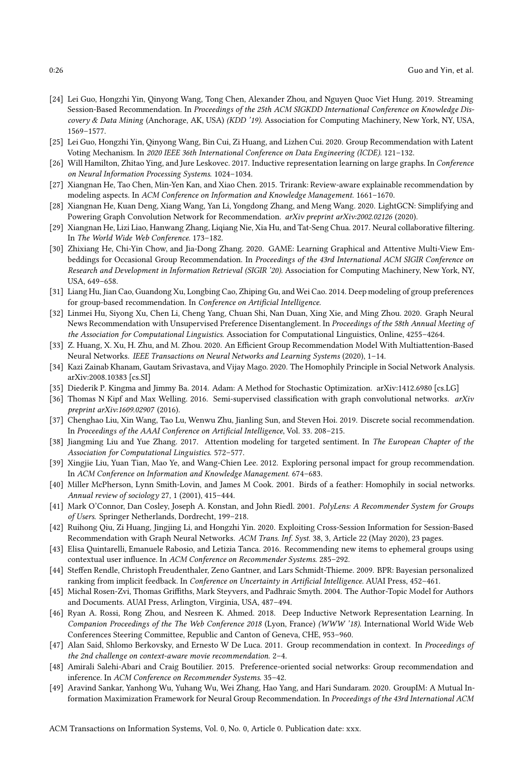- <span id="page-25-5"></span>[24] Lei Guo, Hongzhi Yin, Qinyong Wang, Tong Chen, Alexander Zhou, and Nguyen Quoc Viet Hung. 2019. Streaming Session-Based Recommendation. In Proceedings of the 25th ACM SIGKDD International Conference on Knowledge Discovery & Data Mining (Anchorage, AK, USA) (KDD '19). Association for Computing Machinery, New York, NY, USA, 1569–1577.
- <span id="page-25-2"></span>[25] Lei Guo, Hongzhi Yin, Qinyong Wang, Bin Cui, Zi Huang, and Lizhen Cui. 2020. Group Recommendation with Latent Voting Mechanism. In 2020 IEEE 36th International Conference on Data Engineering (ICDE). 121–132.
- <span id="page-25-18"></span>[26] Will Hamilton, Zhitao Ying, and Jure Leskovec. 2017. Inductive representation learning on large graphs. In Conference on Neural Information Processing Systems. 1024–1034.
- <span id="page-25-22"></span>[27] Xiangnan He, Tao Chen, Min-Yen Kan, and Xiao Chen. 2015. Trirank: Review-aware explainable recommendation by modeling aspects. In ACM Conference on Information and Knowledge Management. 1661–1670.
- <span id="page-25-6"></span>[28] Xiangnan He, Kuan Deng, Xiang Wang, Yan Li, Yongdong Zhang, and Meng Wang. 2020. LightGCN: Simplifying and Powering Graph Convolution Network for Recommendation. arXiv preprint arXiv:2002.02126 (2020).
- <span id="page-25-23"></span>[29] Xiangnan He, Lizi Liao, Hanwang Zhang, Liqiang Nie, Xia Hu, and Tat-Seng Chua. 2017. Neural collaborative filtering. In The World Wide Web Conference. 173–182.
- <span id="page-25-11"></span>[30] Zhixiang He, Chi-Yin Chow, and Jia-Dong Zhang. 2020. GAME: Learning Graphical and Attentive Multi-View Embeddings for Occasional Group Recommendation. In Proceedings of the 43rd International ACM SIGIR Conference on Research and Development in Information Retrieval (SIGIR '20). Association for Computing Machinery, New York, NY, USA, 649–658.
- <span id="page-25-3"></span>[31] Liang Hu, Jian Cao, Guandong Xu, Longbing Cao, Zhiping Gu, and Wei Cao. 2014. Deep modeling of group preferences for group-based recommendation. In Conference on Artificial Intelligence.
- <span id="page-25-13"></span>[32] Linmei Hu, Siyong Xu, Chen Li, Cheng Yang, Chuan Shi, Nan Duan, Xing Xie, and Ming Zhou. 2020. Graph Neural News Recommendation with Unsupervised Preference Disentanglement. In Proceedings of the 58th Annual Meeting of the Association for Computational Linguistics. Association for Computational Linguistics, Online, 4255–4264.
- <span id="page-25-1"></span>[33] Z. Huang, X. Xu, H. Zhu, and M. Zhou. 2020. An Efficient Group Recommendation Model With Multiattention-Based Neural Networks. IEEE Transactions on Neural Networks and Learning Systems (2020), 1–14.
- <span id="page-25-15"></span>[34] Kazi Zainab Khanam, Gautam Srivastava, and Vijay Mago. 2020. The Homophily Principle in Social Network Analysis. arXiv[:2008.10383](https://arxiv.org/abs/2008.10383) [cs.SI]
- <span id="page-25-25"></span>[35] Diederik P. Kingma and Jimmy Ba. 2014. Adam: A Method for Stochastic Optimization. arXiv[:1412.6980](https://arxiv.org/abs/1412.6980) [cs.LG]
- <span id="page-25-17"></span>[36] Thomas N Kipf and Max Welling. 2016. Semi-supervised classification with graph convolutional networks. *arXiv* preprint arXiv:1609.02907 (2016).
- <span id="page-25-0"></span>[37] Chenghao Liu, Xin Wang, Tao Lu, Wenwu Zhu, Jianling Sun, and Steven Hoi. 2019. Discrete social recommendation. In Proceedings of the AAAI Conference on Artificial Intelligence, Vol. 33. 208–215.
- <span id="page-25-20"></span>[38] Jiangming Liu and Yue Zhang. 2017. Attention modeling for targeted sentiment. In The European Chapter of the Association for Computational Linguistics. 572–577.
- <span id="page-25-7"></span>[39] Xingjie Liu, Yuan Tian, Mao Ye, and Wang-Chien Lee. 2012. Exploring personal impact for group recommendation. In ACM Conference on Information and Knowledge Management. 674–683.
- <span id="page-25-16"></span>[40] Miller McPherson, Lynn Smith-Lovin, and James M Cook. 2001. Birds of a feather: Homophily in social networks. Annual review of sociology 27, 1 (2001), 415–444.
- <span id="page-25-9"></span>[41] Mark O'Connor, Dan Cosley, Joseph A. Konstan, and John Riedl. 2001. PolyLens: A Recommender System for Groups of Users. Springer Netherlands, Dordrecht, 199–218.
- <span id="page-25-14"></span>[42] Ruihong Qiu, Zi Huang, Jingjing Li, and Hongzhi Yin. 2020. Exploiting Cross-Session Information for Session-Based Recommendation with Graph Neural Networks. ACM Trans. Inf. Syst. 38, 3, Article 22 (May 2020), 23 pages.
- <span id="page-25-10"></span>[43] Elisa Quintarelli, Emanuele Rabosio, and Letizia Tanca. 2016. Recommending new items to ephemeral groups using contextual user influence. In ACM Conference on Recommender Systems. 285–292.
- <span id="page-25-21"></span>[44] Steffen Rendle, Christoph Freudenthaler, Zeno Gantner, and Lars Schmidt-Thieme. 2009. BPR: Bayesian personalized ranking from implicit feedback. In Conference on Uncertainty in Artificial Intelligence. AUAI Press, 452–461.
- <span id="page-25-24"></span>[45] Michal Rosen-Zvi, Thomas Griffiths, Mark Steyvers, and Padhraic Smyth. 2004. The Author-Topic Model for Authors and Documents. AUAI Press, Arlington, Virginia, USA, 487–494.
- <span id="page-25-19"></span>[46] Ryan A. Rossi, Rong Zhou, and Nesreen K. Ahmed. 2018. Deep Inductive Network Representation Learning. In Companion Proceedings of the The Web Conference 2018 (Lyon, France) (WWW '18). International World Wide Web Conferences Steering Committee, Republic and Canton of Geneva, CHE, 953–960.
- <span id="page-25-4"></span>[47] Alan Said, Shlomo Berkovsky, and Ernesto W De Luca. 2011. Group recommendation in context. In Proceedings of the 2nd challenge on context-aware movie recommendation. 2–4.
- <span id="page-25-8"></span>[48] Amirali Salehi-Abari and Craig Boutilier. 2015. Preference-oriented social networks: Group recommendation and inference. In ACM Conference on Recommender Systems. 35–42.
- <span id="page-25-12"></span>[49] Aravind Sankar, Yanhong Wu, Yuhang Wu, Wei Zhang, Hao Yang, and Hari Sundaram. 2020. GroupIM: A Mutual Information Maximization Framework for Neural Group Recommendation. In Proceedings of the 43rd International ACM